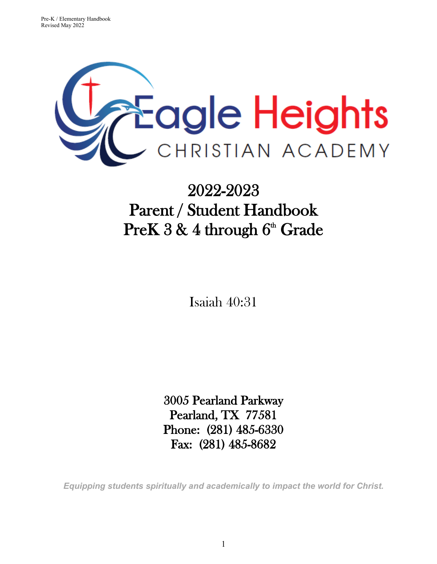

# 2022-2023 Parent / Student Handbook  $Pre K\,3\,\&\,4$  through  $6^{\text{\tiny th}}$  Grade

Isaiah 40:31

3005 Pearland Parkway Pearland, TX 77581 Phone: (281) 485-6330 Fax: (281) 485-8682

*Equipping students spiritually and academically to impact the world for Christ.*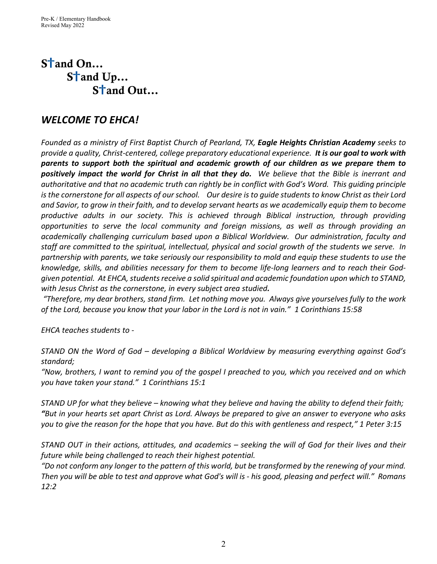## $S<sup>+</sup>$  and  $On...$ S<sup>t</sup>and Up... S<sup>t</sup>and Out...

## *WELCOME TO EHCA!*

*Founded as a ministry of First Baptist Church of Pearland, TX, Eagle Heights Christian Academy seeks to provide a quality, Christ-centered, college preparatory educational experience. It is our goal to work with parents to support both the spiritual and academic growth of our children as we prepare them to positively impact the world for Christ in all that they do. We believe that the Bible is inerrant and authoritative and that no academic truth can rightly be in conflict with God's Word. This guiding principle is the cornerstone for all aspects of our school. Our desire is to guide students to know Christ as their Lord and Savior, to grow in their faith, and to develop servant hearts as we academically equip them to become productive adults in our society. This is achieved through Biblical instruction, through providing opportunities to serve the local community and foreign missions, as well as through providing an academically challenging curriculum based upon a Biblical Worldview. Our administration, faculty and staff are committed to the spiritual, intellectual, physical and social growth of the students we serve. In partnership with parents, we take seriously our responsibility to mold and equip these students to use the knowledge, skills, and abilities necessary for them to become life-long learners and to reach their Godgiven potential. At EHCA, students receive a solid spiritual and academic foundation upon which to STAND, with Jesus Christ as the cornerstone, in every subject area studied.* 

*"Therefore, my dear brothers, stand firm. Let nothing move you. Always give yourselves fully to the work of the Lord, because you know that your labor in the Lord is not in vain." 1 Corinthians 15:58*

*EHCA teaches students to -*

*STAND ON the Word of God – developing a Biblical Worldview by measuring everything against God's standard;* 

*"Now, brothers, I want to remind you of the gospel I preached to you, which you received and on which you have taken your stand." 1 Corinthians 15:1*

*STAND UP for what they believe – knowing what they believe and having the ability to defend their faith; "But in your hearts set apart Christ as Lord. Always be prepared to give an answer to everyone who asks you to give the reason for the hope that you have. But do this with gentleness and respect," 1 Peter 3:15*

*STAND OUT in their actions, attitudes, and academics – seeking the will of God for their lives and their future while being challenged to reach their highest potential.* 

*"Do not conform any longer to the pattern of this world, but be transformed by the renewing of your mind. Then you will be able to test and approve what God's will is - his good, pleasing and perfect will." Romans 12:2*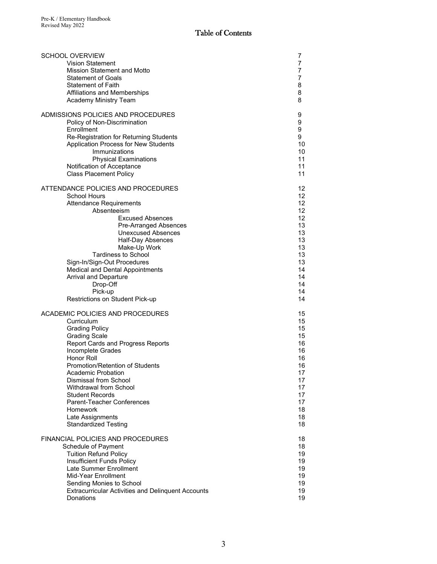| <b>SCHOOL OVERVIEW</b>                                    | 7              |
|-----------------------------------------------------------|----------------|
| <b>Vision Statement</b>                                   | 7              |
| Mission Statement and Motto                               | 7              |
| <b>Statement of Goals</b>                                 | $\overline{7}$ |
| <b>Statement of Faith</b>                                 | 8              |
| Affiliations and Memberships                              | 8              |
| Academy Ministry Team                                     | 8              |
| ADMISSIONS POLICIES AND PROCEDURES                        | 9              |
| Policy of Non-Discrimination                              | 9              |
| Enrollment                                                | 9              |
| Re-Registration for Returning Students                    | 9              |
| Application Process for New Students                      | 10             |
| Immunizations                                             | 10             |
| <b>Physical Examinations</b>                              | 11             |
| Notification of Acceptance                                | 11             |
| <b>Class Placement Policy</b>                             | 11             |
| ATTENDANCE POLICIES AND PROCEDURES                        | 12             |
| <b>School Hours</b>                                       | 12             |
| <b>Attendance Requirements</b>                            | 12             |
| Absenteeism                                               | 12             |
| <b>Excused Absences</b>                                   | 12             |
| <b>Pre-Arranged Absences</b>                              | 13             |
| <b>Unexcused Absences</b>                                 | 13             |
| Half-Day Absences                                         | 13             |
| Make-Up Work                                              | 13             |
| <b>Tardiness to School</b>                                | 13             |
| Sign-In/Sign-Out Procedures                               | 13             |
| Medical and Dental Appointments                           | 14             |
| <b>Arrival and Departure</b>                              | 14             |
| Drop-Off                                                  | 14             |
| Pick-up                                                   | 14             |
| Restrictions on Student Pick-up                           | 14             |
| ACADEMIC POLICIES AND PROCEDURES                          | 15             |
| Curriculum                                                | 15             |
| <b>Grading Policy</b>                                     | 15             |
| <b>Grading Scale</b>                                      | 15             |
| Report Cards and Progress Reports                         | 16             |
| Incomplete Grades                                         | 16             |
| Honor Roll                                                | 16             |
| Promotion/Retention of Students                           | 16             |
| <b>Academic Probation</b>                                 | 17             |
| Dismissal from School                                     | 17             |
| <b>Withdrawal from School</b>                             | 17             |
| <b>Student Records</b>                                    | 17             |
| Parent-Teacher Conferences                                | 17             |
| Homework                                                  | 18             |
| Late Assignments                                          | 18             |
| <b>Standardized Testing</b>                               | 18             |
| <b>FINANCIAL POLICIES AND PROCEDURES</b>                  | 18             |
| Schedule of Payment                                       | 18             |
| <b>Tuition Refund Policy</b>                              | 19             |
| Insufficient Funds Policy                                 | 19             |
| Late Summer Enrollment                                    | 19             |
| Mid-Year Enrollment                                       | 19             |
| Sending Monies to School                                  | 19             |
| <b>Extracurricular Activities and Delinquent Accounts</b> | 19             |
| Donations                                                 | 19             |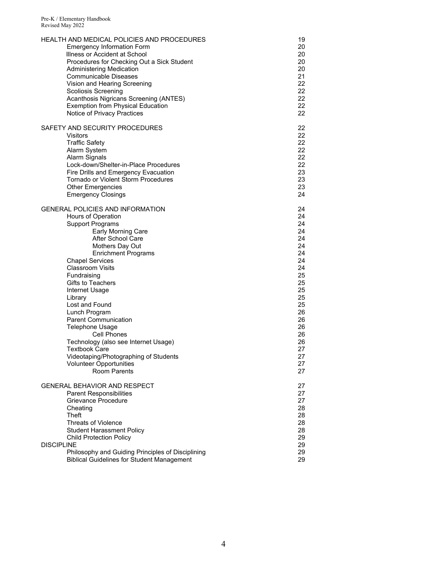| HEALTH AND MEDICAL POLICIES AND PROCEDURES        | 19 |
|---------------------------------------------------|----|
| <b>Emergency Information Form</b>                 | 20 |
| Illness or Accident at School                     | 20 |
| Procedures for Checking Out a Sick Student        | 20 |
| <b>Administering Medication</b>                   | 20 |
| <b>Communicable Diseases</b>                      | 21 |
| Vision and Hearing Screening                      | 22 |
| <b>Scoliosis Screening</b>                        | 22 |
| Acanthosis Nigricans Screening (ANTES)            | 22 |
| <b>Exemption from Physical Education</b>          | 22 |
| Notice of Privacy Practices                       | 22 |
| SAFETY AND SECURITY PROCEDURES                    | 22 |
| <b>Visitors</b>                                   | 22 |
| <b>Traffic Safety</b>                             | 22 |
| Alarm System                                      | 22 |
| Alarm Signals                                     | 22 |
| Lock-down/Shelter-in-Place Procedures             | 22 |
| Fire Drills and Emergency Evacuation              | 23 |
| Tornado or Violent Storm Procedures               | 23 |
| <b>Other Emergencies</b>                          | 23 |
| <b>Emergency Closings</b>                         | 24 |
| <b>GENERAL POLICIES AND INFORMATION</b>           | 24 |
| Hours of Operation                                | 24 |
| <b>Support Programs</b>                           | 24 |
| Early Morning Care                                | 24 |
| After School Care                                 | 24 |
| Mothers Day Out                                   | 24 |
| <b>Enrichment Programs</b>                        | 24 |
| <b>Chapel Services</b>                            | 24 |
| <b>Classroom Visits</b>                           | 24 |
| Fundraising                                       | 25 |
| <b>Gifts to Teachers</b>                          | 25 |
| Internet Usage                                    | 25 |
| Library                                           | 25 |
| Lost and Found                                    | 25 |
| Lunch Program                                     | 26 |
| <b>Parent Communication</b>                       | 26 |
| Telephone Usage                                   | 26 |
| Cell Phones                                       | 26 |
| Technology (also see Internet Usage)              | 26 |
| <b>Textbook Care</b>                              | 27 |
| Videotaping/Photographing of Students             | 27 |
| <b>Volunteer Opportunities</b>                    | 27 |
| <b>Room Parents</b>                               | 27 |
| GENERAL BEHAVIOR AND RESPECT                      | 27 |
| <b>Parent Responsibilities</b>                    | 27 |
| Grievance Procedure                               | 27 |
| Cheating                                          | 28 |
| Theft                                             | 28 |
| <b>Threats of Violence</b>                        | 28 |
| <b>Student Harassment Policy</b>                  | 28 |
| <b>Child Protection Policy</b>                    | 29 |
| <b>DISCIPLINE</b>                                 | 29 |
| Philosophy and Guiding Principles of Disciplining | 29 |
| <b>Biblical Guidelines for Student Management</b> | 29 |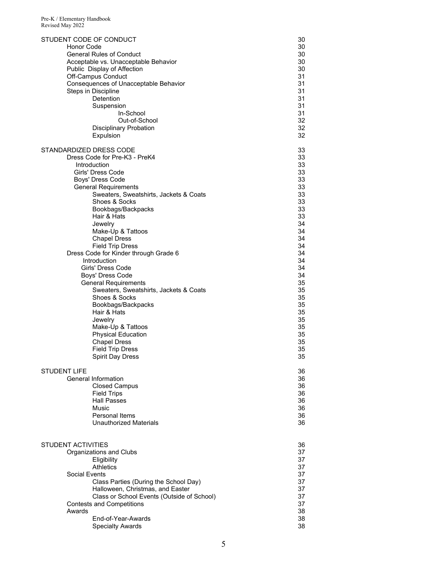| STUDENT CODE OF CONDUCT                    | 30 |
|--------------------------------------------|----|
| Honor Code                                 | 30 |
| <b>General Rules of Conduct</b>            | 30 |
| Acceptable vs. Unacceptable Behavior       | 30 |
| Public Display of Affection                | 30 |
| Off-Campus Conduct                         | 31 |
| Consequences of Unacceptable Behavior      | 31 |
| Steps in Discipline                        | 31 |
| Detention                                  | 31 |
| Suspension                                 | 31 |
| In-School                                  | 31 |
| Out-of-School                              | 32 |
| <b>Disciplinary Probation</b>              | 32 |
| Expulsion                                  | 32 |
| STANDARDIZED DRESS CODE                    | 33 |
| Dress Code for Pre-K3 - PreK4              | 33 |
| <b>Introduction</b>                        | 33 |
| Girls' Dress Code                          | 33 |
| Boys' Dress Code                           | 33 |
| <b>General Requirements</b>                | 33 |
| Sweaters, Sweatshirts, Jackets & Coats     | 33 |
| Shoes & Socks                              | 33 |
| Bookbags/Backpacks                         | 33 |
| Hair & Hats                                | 33 |
| Jewelry                                    | 34 |
| Make-Up & Tattoos                          | 34 |
| <b>Chapel Dress</b>                        | 34 |
| <b>Field Trip Dress</b>                    | 34 |
| Dress Code for Kinder through Grade 6      | 34 |
| Introduction                               | 34 |
| Girls' Dress Code                          | 34 |
| Boys' Dress Code                           | 34 |
| <b>General Requirements</b>                | 35 |
| Sweaters, Sweatshirts, Jackets & Coats     | 35 |
| Shoes & Socks                              | 35 |
| Bookbags/Backpacks                         | 35 |
| Hair & Hats                                | 35 |
| Jewelry                                    | 35 |
| Make-Up & Tattoos                          | 35 |
| <b>Physical Education</b>                  | 35 |
| <b>Chapel Dress</b>                        | 35 |
| <b>Field Trip Dress</b>                    | 35 |
| Spirit Day Dress                           | 35 |
| <b>STUDENT LIFE</b>                        | 36 |
| General Information                        | 36 |
| <b>Closed Campus</b>                       | 36 |
| <b>Field Trips</b>                         | 36 |
| <b>Hall Passes</b>                         | 36 |
| Music                                      | 36 |
| Personal Items                             | 36 |
| Unauthorized Materials                     | 36 |
| STUDENT ACTIVITIES                         | 36 |
| Organizations and Clubs                    | 37 |
| Eligibility                                | 37 |
| <b>Athletics</b>                           | 37 |
| Social Events                              | 37 |
| Class Parties (During the School Day)      | 37 |
| Halloween, Christmas, and Easter           | 37 |
| Class or School Events (Outside of School) | 37 |
| <b>Contests and Competitions</b>           | 37 |
| Awards                                     | 38 |
| End-of-Year-Awards                         | 38 |
| <b>Specialty Awards</b>                    | 38 |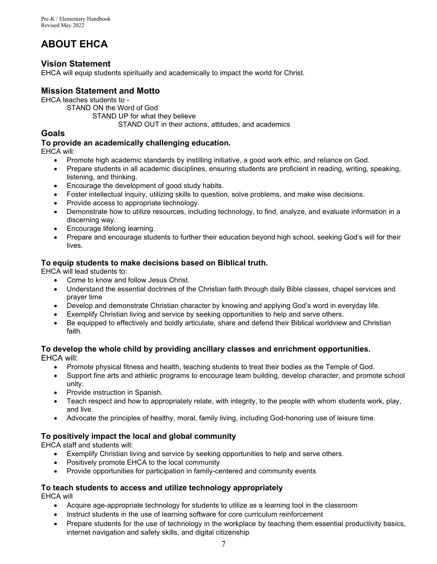## **ABOUT EHCA**

## **Vision Statement**

EHCA will equip students spiritually and academically to impact the world for Christ.

## **Mission Statement and Motto**

EHCA teaches students to -

STAND ON the Word of God

STAND UP for what they believe

STAND OUT in their actions, attitudes, and academics

## **Goals**

### **To provide an academically challenging education.**

EHCA will:

- Promote high academic standards by instilling initiative, a good work ethic, and reliance on God.
- Prepare students in all academic disciplines, ensuring students are proficient in reading, writing, speaking, listening, and thinking.
- Encourage the development of good study habits.
- Foster intellectual inquiry, utilizing skills to question, solve problems, and make wise decisions.
- Provide access to appropriate technology.
- Demonstrate how to utilize resources, including technology, to find, analyze, and evaluate information in a discerning way.
- Encourage lifelong learning.
- Prepare and encourage students to further their education beyond high school, seeking God's will for their lives.

## **To equip students to make decisions based on Biblical truth.**

EHCA will lead students to:

- Come to know and follow Jesus Christ.
- Understand the essential doctrines of the Christian faith through daily Bible classes, chapel services and prayer time
- Develop and demonstrate Christian character by knowing and applying God's word in everyday life.
- Exemplify Christian living and service by seeking opportunities to help and serve others.
- Be equipped to effectively and boldly articulate, share and defend their Biblical worldview and Christian faith.

#### **To develop the whole child by providing ancillary classes and enrichment opportunities.**  EHCA will:

- Promote physical fitness and health, teaching students to treat their bodies as the Temple of God.
- Support fine arts and athletic programs to encourage team building, develop character, and promote school unity.
- Provide instruction in Spanish.
- Teach respect and how to appropriately relate, with integrity, to the people with whom students work, play, and live.
- Advocate the principles of healthy, moral, family living, including God-honoring use of leisure time.

## **To positively impact the local and global community**

EHCA staff and students will:

- Exemplify Christian living and service by seeking opportunities to help and serve others.
- Positively promote EHCA to the local community
- Provide opportunities for participation in family-centered and community events

### **To teach students to access and utilize technology appropriately**

EHCA will

- Acquire age-appropriate technology for students to utilize as a learning tool in the classroom
- Instruct students in the use of learning software for core curriculum reinforcement
- Prepare students for the use of technology in the workplace by teaching them essential productivity basics, internet navigation and safety skills, and digital citizenship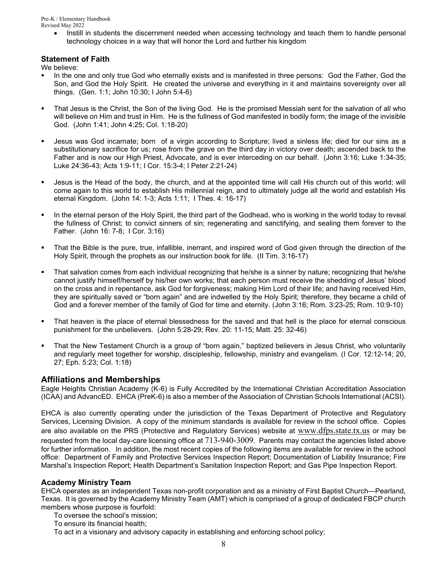> • Instill in students the discernment needed when accessing technology and teach them to handle personal technology choices in a way that will honor the Lord and further his kingdom

#### **Statement of Faith**

We believe:

- In the one and only true God who eternally exists and is manifested in three persons: God the Father, God the Son, and God the Holy Spirit. He created the universe and everything in it and maintains sovereignty over all things. (Gen. 1:1; John 10:30; I John 5:4-6)
- That Jesus is the Christ, the Son of the living God. He is the promised Messiah sent for the salvation of all who will believe on Him and trust in Him. He is the fullness of God manifested in bodily form; the image of the invisible God. (John 1:41; John 4:25; Col. 1:18-20)
- Jesus was God incarnate; born of a virgin according to Scripture; lived a sinless life; died for our sins as a substitutionary sacrifice for us; rose from the grave on the third day in victory over death; ascended back to the Father and is now our High Priest, Advocate, and is ever interceding on our behalf. (John 3:16; Luke 1:34-35; Luke 24:36-43; Acts 1:9-11; I Cor. 15:3-4; I Peter 2:21-24)
- Jesus is the Head of the body, the church, and at the appointed time will call His church out of this world; will come again to this world to establish His millennial reign, and to ultimately judge all the world and establish His eternal Kingdom. (John 14: 1-3; Acts 1:11; I Thes. 4: 16-17)
- In the eternal person of the Holy Spirit, the third part of the Godhead, who is working in the world today to reveal the fullness of Christ; to convict sinners of sin; regenerating and sanctifying, and sealing them forever to the Father. (John 16: 7-8; I Cor. 3:16)
- That the Bible is the pure, true, infallible, inerrant, and inspired word of God given through the direction of the Holy Spirit, through the prophets as our instruction book for life. (II Tim. 3:16-17)
- That salvation comes from each individual recognizing that he/she is a sinner by nature; recognizing that he/she cannot justify himself/herself by his/her own works; that each person must receive the shedding of Jesus' blood on the cross and in repentance, ask God for forgiveness; making Him Lord of their life; and having received Him, they are spiritually saved or "born again" and are indwelled by the Holy Spirit; therefore, they became a child of God and a forever member of the family of God for time and eternity. (John 3:16; Rom. 3:23-25; Rom. 10:9-10)
- That heaven is the place of eternal blessedness for the saved and that hell is the place for eternal conscious punishment for the unbelievers. (John 5:28-29; Rev. 20: 11-15; Matt. 25: 32-46)
- That the New Testament Church is a group of "born again," baptized believers in Jesus Christ, who voluntarily and regularly meet together for worship, discipleship, fellowship, ministry and evangelism. (I Cor. 12:12-14; 20, 27; Eph. 5:23; Col. 1:18)

#### **Affiliations and Memberships**

Eagle Heights Christian Academy (K-6) is Fully Accredited by the International Christian Accreditation Association (ICAA) and AdvancED. EHCA (PreK-6) is also a member of the Association of Christian Schools International (ACSI).

EHCA is also currently operating under the jurisdiction of the Texas Department of Protective and Regulatory Services, Licensing Division. A copy of the minimum standards is available for review in the school office. Copies are also available on the PRS (Protective and Regulatory Services) website at [www.dfps.state.tx.us](http://www.dfps.state.tx.us/) or may be requested from the local day-care licensing office at 713-940-3009. Parents may contact the agencies listed above for further information. In addition, the most recent copies of the following items are available for review in the school office: Department of Family and Protective Services Inspection Report; Documentation of Liability Insurance; Fire Marshal's Inspection Report; Health Department's Sanitation Inspection Report; and Gas Pipe Inspection Report.

#### **Academy Ministry Team**

EHCA operates as an independent Texas non-profit corporation and as a ministry of First Baptist Church—Pearland, Texas. It is governed by the Academy Ministry Team (AMT) which is comprised of a group of dedicated FBCP church members whose purpose is fourfold:

To oversee the school's mission;

To ensure its financial health;

To act in a visionary and advisory capacity in establishing and enforcing school policy;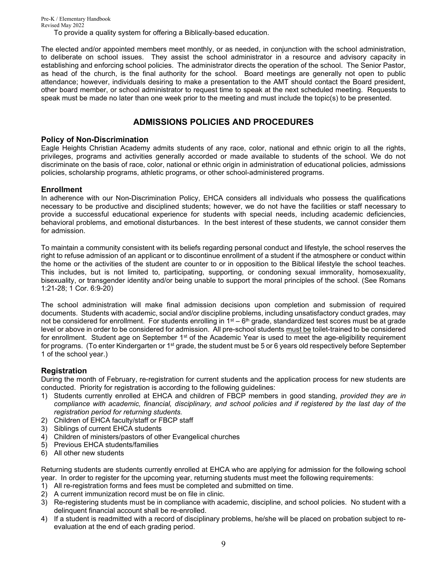Pre-K / Elementary Handbook Revised May 2022 To provide a quality system for offering a Biblically-based education.

The elected and/or appointed members meet monthly, or as needed, in conjunction with the school administration, to deliberate on school issues. They assist the school administrator in a resource and advisory capacity in establishing and enforcing school policies. The administrator directs the operation of the school. The Senior Pastor, as head of the church, is the final authority for the school. Board meetings are generally not open to public attendance; however, individuals desiring to make a presentation to the AMT should contact the Board president, other board member, or school administrator to request time to speak at the next scheduled meeting. Requests to speak must be made no later than one week prior to the meeting and must include the topic(s) to be presented.

## **ADMISSIONS POLICIES AND PROCEDURES**

#### **Policy of Non-Discrimination**

Eagle Heights Christian Academy admits students of any race, color, national and ethnic origin to all the rights, privileges, programs and activities generally accorded or made available to students of the school. We do not discriminate on the basis of race, color, national or ethnic origin in administration of educational policies, admissions policies, scholarship programs, athletic programs, or other school-administered programs.

#### **Enrollment**

In adherence with our Non-Discrimination Policy, EHCA considers all individuals who possess the qualifications necessary to be productive and disciplined students; however, we do not have the facilities or staff necessary to provide a successful educational experience for students with special needs, including academic deficiencies, behavioral problems, and emotional disturbances. In the best interest of these students, we cannot consider them for admission.

To maintain a community consistent with its beliefs regarding personal conduct and lifestyle, the school reserves the right to refuse admission of an applicant or to discontinue enrollment of a student if the atmosphere or conduct within the home or the activities of the student are counter to or in opposition to the Biblical lifestyle the school teaches. This includes, but is not limited to, participating, supporting, or condoning sexual immorality, homosexuality, bisexuality, or transgender identity and/or being unable to support the moral principles of the school. (See Romans 1:21-28; 1 Cor. 6:9-20)

The school administration will make final admission decisions upon completion and submission of required documents. Students with academic, social and/or discipline problems, including unsatisfactory conduct grades, may not be considered for enrollment. For students enrolling in  $1<sup>st</sup> - 6<sup>th</sup>$  grade, standardized test scores must be at grade level or above in order to be considered for admission. All pre-school students must be toilet-trained to be considered for enrollment. Student age on September 1<sup>st</sup> of the Academic Year is used to meet the age-eligibility requirement for programs. (To enter Kindergarten or 1<sup>st</sup> grade, the student must be 5 or 6 years old respectively before September 1 of the school year.)

### **Registration**

During the month of February, re-registration for current students and the application process for new students are conducted. Priority for registration is according to the following guidelines:

- 1) Students currently enrolled at EHCA and children of FBCP members in good standing, *provided they are in*  compliance with academic, financial, disciplinary, and school policies and if registered by the last day of the *registration period for returning students.*
- 2) Children of EHCA faculty/staff or FBCP staff
- 3) Siblings of current EHCA students
- 4) Children of ministers/pastors of other Evangelical churches
- 5) Previous EHCA students/families
- 6) All other new students

Returning students are students currently enrolled at EHCA who are applying for admission for the following school year. In order to register for the upcoming year, returning students must meet the following requirements:

- 1) All re-registration forms and fees must be completed and submitted on time.
- 2) A current immunization record must be on file in clinic.
- 3) Re-registering students must be in compliance with academic, discipline, and school policies. No student with a delinquent financial account shall be re-enrolled.
- 4) If a student is readmitted with a record of disciplinary problems, he/she will be placed on probation subject to reevaluation at the end of each grading period.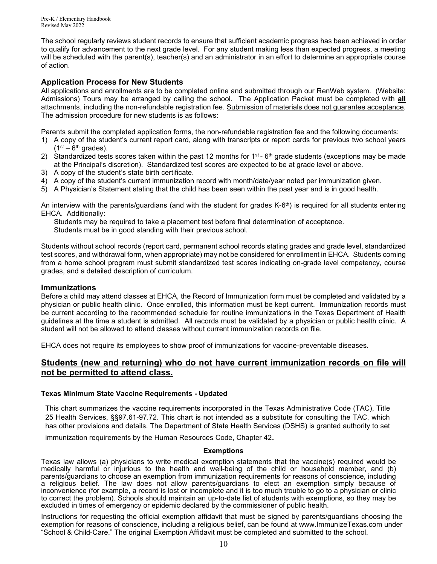The school regularly reviews student records to ensure that sufficient academic progress has been achieved in order to qualify for advancement to the next grade level. For any student making less than expected progress, a meeting will be scheduled with the parent(s), teacher(s) and an administrator in an effort to determine an appropriate course of action.

### **Application Process for New Students**

All applications and enrollments are to be completed online and submitted through our RenWeb system. (Website: Admissions) Tours may be arranged by calling the school. The Application Packet must be completed with **all** attachments, including the non-refundable registration fee. Submission of materials does not guarantee acceptance. The admission procedure for new students is as follows:

Parents submit the completed application forms, the non-refundable registration fee and the following documents:

- 1) A copy of the student's current report card, along with transcripts or report cards for previous two school years  $(1<sup>st</sup> - 6<sup>th</sup>$  grades).
- 2) Standardized tests scores taken within the past 12 months for  $1^{st}$  6<sup>th</sup> grade students (exceptions may be made at the Principal's discretion). Standardized test scores are expected to be at grade level or above.
- 3) A copy of the student's state birth certificate.
- 4) A copy of the student's current immunization record with month/date/year noted per immunization given.
- 5) A Physician's Statement stating that the child has been seen within the past year and is in good health.

An interview with the parents/quardians (and with the student for grades  $K-6<sup>th</sup>$ ) is required for all students entering EHCA. Additionally:

Students may be required to take a placement test before final determination of acceptance. Students must be in good standing with their previous school.

Students without school records (report card, permanent school records stating grades and grade level, standardized test scores, and withdrawal form, when appropriate) may not be considered for enrollment in EHCA. Students coming from a home school program must submit standardized test scores indicating on-grade level competency, course grades, and a detailed description of curriculum.

#### **Immunizations**

Before a child may attend classes at EHCA, the Record of Immunization form must be completed and validated by a physician or public health clinic. Once enrolled, this information must be kept current. Immunization records must be current according to the recommended schedule for routine immunizations in the Texas Department of Health guidelines at the time a student is admitted. All records must be validated by a physician or public health clinic. A student will not be allowed to attend classes without current immunization records on file.

EHCA does not require its employees to show proof of immunizations for vaccine-preventable diseases.

### **Students (new and returning) who do not have current immunization records on file will not be permitted to attend class.**

#### **Texas Minimum State Vaccine Requirements - Updated**

This chart summarizes the vaccine requirements incorporated in the Texas Administrative Code (TAC), Title 25 Health Services, §§97.61-97.72. This chart is not intended as a substitute for consulting the TAC, which has other provisions and details. The Department of State Health Services (DSHS) is granted authority to set

immunization requirements by the Human Resources Code, Chapter 42.

#### **Exemptions**

Texas law allows (a) physicians to write medical exemption statements that the vaccine(s) required would be medically harmful or injurious to the health and well-being of the child or household member, and (b) parents/guardians to choose an exemption from immunization requirements for reasons of conscience, including a religious belief. The law does not allow parents/guardians to elect an exemption simply because of inconvenience (for example, a record is lost or incomplete and it is too much trouble to go to a physician or clinic to correct the problem). Schools should maintain an up-to-date list of students with exemptions, so they may be excluded in times of emergency or epidemic declared by the commissioner of public health.

Instructions for requesting the official exemption affidavit that must be signed by parents/guardians choosing the exemption for reasons of conscience, including a religious belief, can be found at [www.ImmunizeTexas.com u](http://www.immunizetexas.com/)nder "School & Child-Care." The original Exemption Affidavit must be completed and submitted to the school.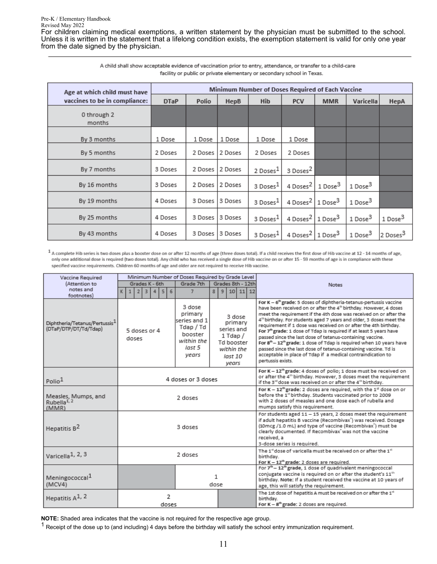For children claiming medical exemptions, a written statement by the physician must be submitted to the school. Unless it is written in the statement that a lifelong condition exists, the exemption statement is valid for only one year from the date signed by the physician.

| Age at which child must have  | Minimum Number of Doses Required of Each Vaccine |         |          |                      |                                          |            |                     |                      |  |  |  |  |  |
|-------------------------------|--------------------------------------------------|---------|----------|----------------------|------------------------------------------|------------|---------------------|----------------------|--|--|--|--|--|
| vaccines to be in compliance: | <b>DTaP</b>                                      | Polio   | HepB     | <b>Hib</b>           | PCV                                      | <b>MMR</b> | Varicella           | HepA                 |  |  |  |  |  |
| 0 through 2<br>months         |                                                  |         |          |                      |                                          |            |                     |                      |  |  |  |  |  |
| By 3 months                   | 1 Dose                                           | 1 Dose  | 1 Dose   | 1 Dose               | 1 Dose                                   |            |                     |                      |  |  |  |  |  |
| By 5 months                   | 2 Doses                                          | 2 Doses | 2 Doses  | 2 Doses              | 2 Doses                                  |            |                     |                      |  |  |  |  |  |
| By 7 months                   | 3 Doses                                          | 2 Doses | 12 Doses | 2 Doses <sup>1</sup> | 3 Doses <sup>2</sup>                     |            |                     |                      |  |  |  |  |  |
| By 16 months                  | 3 Doses                                          | 2 Doses | 2 Doses  | 3 Doses <sup>1</sup> | 4 Doses <sup>2</sup> 1 Dose <sup>3</sup> |            | 1 Dose <sup>3</sup> |                      |  |  |  |  |  |
| By 19 months                  | 4 Doses                                          | 3 Doses | 3 Doses  | $3$ Doses $1$        | 4 Doses <sup>2</sup> 1 Dose <sup>3</sup> |            | 1 Dose <sup>3</sup> |                      |  |  |  |  |  |
| By 25 months                  | 4 Doses                                          | 3 Doses | 3 Doses  | 3 Doses <sup>1</sup> | 4 Doses <sup>2</sup> 1 Dose <sup>3</sup> |            | 1 Dose <sup>3</sup> | 1 Dose <sup>3</sup>  |  |  |  |  |  |
| By 43 months                  | 4 Doses                                          | 3 Doses | 3 Doses  | 3 Doses <sup>1</sup> | 4 Doses <sup>2</sup> 1 Dose <sup>3</sup> |            | 1 Dose <sup>3</sup> | 2 Doses <sup>3</sup> |  |  |  |  |  |

A child shall show acceptable evidence of vaccination prior to entry, attendance, or transfer to a child-care facility or public or private elementary or secondary school in Texas.

1 A complete Hib series is two doses plus a booster dose on or after 12 months of age (three doses total). If a child receives the first dose of Hib vaccine at 12 - 14 months of age, only one additional dose is required (two doses total). Any child who has received a single dose of Hib vaccine on or after 15 - 59 months of age is in compliance with these specified vaccine requirements. Children 60 months of age and older are not required to receive Hib vaccine.

| Vaccine Required                                                   |                         | Minimum Number of Doses Required by Grade Level |  |  |  |                                                                                            |           |                                                                                                 |  |                   |  |                                                                                                                                                                                                                                                                                                                                                                                                                                                                                                                                                                                                                                                                                                                                                                                                   |              |                                                                                                                                                                                                                                                                                                                               |  |  |
|--------------------------------------------------------------------|-------------------------|-------------------------------------------------|--|--|--|--------------------------------------------------------------------------------------------|-----------|-------------------------------------------------------------------------------------------------|--|-------------------|--|---------------------------------------------------------------------------------------------------------------------------------------------------------------------------------------------------------------------------------------------------------------------------------------------------------------------------------------------------------------------------------------------------------------------------------------------------------------------------------------------------------------------------------------------------------------------------------------------------------------------------------------------------------------------------------------------------------------------------------------------------------------------------------------------------|--------------|-------------------------------------------------------------------------------------------------------------------------------------------------------------------------------------------------------------------------------------------------------------------------------------------------------------------------------|--|--|
| (Attention to                                                      | Grades K - 6th          |                                                 |  |  |  |                                                                                            | Grade 7th |                                                                                                 |  | Grades 8th - 12th |  |                                                                                                                                                                                                                                                                                                                                                                                                                                                                                                                                                                                                                                                                                                                                                                                                   | <b>Notes</b> |                                                                                                                                                                                                                                                                                                                               |  |  |
| notes and                                                          |                         |                                                 |  |  |  | $K$   1   2   3   4   5   6                                                                |           | 8 9 10 11 12<br>$\overline{J}$                                                                  |  |                   |  |                                                                                                                                                                                                                                                                                                                                                                                                                                                                                                                                                                                                                                                                                                                                                                                                   |              |                                                                                                                                                                                                                                                                                                                               |  |  |
| footnotes)                                                         |                         |                                                 |  |  |  |                                                                                            |           |                                                                                                 |  |                   |  |                                                                                                                                                                                                                                                                                                                                                                                                                                                                                                                                                                                                                                                                                                                                                                                                   |              |                                                                                                                                                                                                                                                                                                                               |  |  |
| Diphtheria/Tetanus/Pertussis <sup>1</sup><br>(DTaP/DTP/DT/Td/Tdap) |                         | 5 doses or 4<br>doses                           |  |  |  | 3 dose<br>primary<br>series and 1<br>Tdap / Td<br>booster<br>within the<br>last 5<br>years |           | 3 dose<br>primary<br>series and<br>$1$ Tdap $/$<br>Td booster<br>within the<br>last 10<br>years |  |                   |  | For K - 6 <sup>th</sup> grade: 5 doses of diphtheria-tetanus-pertussis vaccine<br>have been received on or after the 4 <sup>th</sup> birthday. However, 4 doses<br>meet the requirement if the 4th dose was received on or after the<br>4 <sup>th</sup> birthday. For students aged 7 years and older, 3 doses meet the<br>requirement if 1 dose was received on or after the 4th birthday.<br>For 7 <sup>th</sup> grade: 1 dose of Tdap is required if at least 5 years have<br>passed since the last dose of tetanus-containing vaccine.<br>For 8 <sup>th</sup> - 12 <sup>th</sup> grade: 1 dose of Tdap is required when 10 years have<br>passed since the last dose of tetanus-containing vaccine. Td is<br>acceptable in place of Tdap if a medical contraindication to<br>pertussis exists. |              |                                                                                                                                                                                                                                                                                                                               |  |  |
| Polio <sup>1</sup>                                                 |                         | 4 doses or 3 doses                              |  |  |  |                                                                                            |           |                                                                                                 |  |                   |  |                                                                                                                                                                                                                                                                                                                                                                                                                                                                                                                                                                                                                                                                                                                                                                                                   |              | For K - 12 <sup>th</sup> grade: 4 doses of polio; 1 dose must be received on<br>or after the 4th birthday. However, 3 doses meet the requirement<br>if the 3 <sup>nd</sup> dose was received on or after the 4 <sup>th</sup> birthday.                                                                                        |  |  |
| Measles, Mumps, and<br>Rubella <sup>1, 2</sup><br>(MMR)            |                         | 2 doses                                         |  |  |  |                                                                                            |           |                                                                                                 |  |                   |  |                                                                                                                                                                                                                                                                                                                                                                                                                                                                                                                                                                                                                                                                                                                                                                                                   |              | For K - $12^{th}$ grade: 2 doses are required, with the $1st$ dose on or<br>before the 1 <sup>st</sup> birthday. Students vaccinated prior to 2009<br>with 2 doses of measles and one dose each of rubella and<br>mumps satisfy this requirement.                                                                             |  |  |
| Hepatitis B <sup>2</sup>                                           |                         | 3 doses                                         |  |  |  |                                                                                            |           |                                                                                                 |  |                   |  |                                                                                                                                                                                                                                                                                                                                                                                                                                                                                                                                                                                                                                                                                                                                                                                                   |              | For students aged 11 - 15 years, 2 doses meet the requirement<br>if adult hepatitis B vaccine (Recombivax <sup>*</sup> ) was received. Dosage<br>(10mcg /1.0 mL) and type of vaccine (Recombivax') must be<br>clearly documented. If Recombivax <sup>7</sup> was not the vaccine<br>received, a<br>3-dose series is required. |  |  |
| Varicella <sup>1, 2, 3</sup>                                       |                         | 2 doses                                         |  |  |  |                                                                                            |           |                                                                                                 |  |                   |  |                                                                                                                                                                                                                                                                                                                                                                                                                                                                                                                                                                                                                                                                                                                                                                                                   |              | The 1 <sup>st</sup> dose of varicella must be received on or after the 1st<br>birthday.<br>For $K - 12^{th}$ grade: 2 doses are required.                                                                                                                                                                                     |  |  |
| Meningococcal <sup>1</sup><br>(MCV4)                               |                         | 1<br>dose                                       |  |  |  |                                                                                            |           |                                                                                                 |  |                   |  |                                                                                                                                                                                                                                                                                                                                                                                                                                                                                                                                                                                                                                                                                                                                                                                                   |              | For 7 <sup>th</sup> - 12 <sup>th</sup> grade, 1 dose of quadrivalent meningococcal<br>conjugate vaccine is required on or after the student's 11th<br>birthday. Note: If a student received the vaccine at 10 years of<br>age, this will satisfy the requirement.                                                             |  |  |
| Hepatitis A <sup>1, 2</sup>                                        | $\overline{2}$<br>doses |                                                 |  |  |  |                                                                                            |           |                                                                                                 |  |                   |  | The 1st dose of hepatitis A must be received on or after the 1 <sup>st</sup><br>birthday.<br>For K - 8 <sup>th</sup> grade: 2 doses are required.                                                                                                                                                                                                                                                                                                                                                                                                                                                                                                                                                                                                                                                 |              |                                                                                                                                                                                                                                                                                                                               |  |  |

**NOTE:** Shaded area indicates that the vaccine is not required for the respective age group.

 $1$  Receipt of the dose up to (and including) 4 days before the birthday will satisfy the school entry immunization requirement.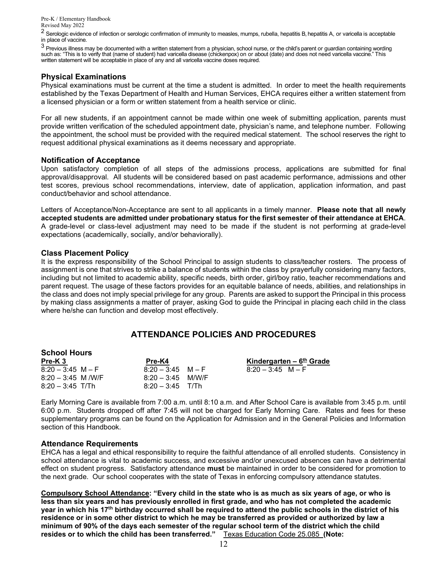<sup>2</sup> Serologic evidence of infection or serologic confirmation of immunity to measles, mumps, rubella, hepatitis B, hepatitis A, or varicella is acceptable in place of vaccine.

<sup>3</sup> Previous illness may be documented with a written statement from a physician, school nurse, or the child's parent or guardian containing wording such as: "This is to verify that (name of student) had varicella disease (chickenpox) on or about (date) and does not need varicella vaccine." This written statement will be acceptable in place of any and all varicella vaccine doses required.

### **Physical Examinations**

Physical examinations must be current at the time a student is admitted. In order to meet the health requirements established by the Texas Department of Health and Human Services, EHCA requires either a written statement from a licensed physician or a form or written statement from a health service or clinic.

For all new students, if an appointment cannot be made within one week of submitting application, parents must provide written verification of the scheduled appointment date, physician's name, and telephone number. Following the appointment, the school must be provided with the required medical statement. The school reserves the right to request additional physical examinations as it deems necessary and appropriate.

#### **Notification of Acceptance**

Upon satisfactory completion of all steps of the admissions process, applications are submitted for final approval/disapproval. All students will be considered based on past academic performance, admissions and other test scores, previous school recommendations, interview, date of application, application information, and past conduct/behavior and school attendance.

Letters of Acceptance/Non-Acceptance are sent to all applicants in a timely manner. **Please note that all newly accepted students are admitted under probationary status for the first semester of their attendance at EHCA**. A grade-level or class-level adjustment may need to be made if the student is not performing at grade-level expectations (academically, socially, and/or behaviorally).

#### **Class Placement Policy**

It is the express responsibility of the School Principal to assign students to class/teacher rosters. The process of assignment is one that strives to strike a balance of students within the class by prayerfully considering many factors, including but not limited to academic ability, specific needs, birth order, girl/boy ratio, teacher recommendations and parent request. The usage of these factors provides for an equitable balance of needs, abilities, and relationships in the class and does not imply special privilege for any group. Parents are asked to support the Principal in this process by making class assignments a matter of prayer, asking God to guide the Principal in placing each child in the class where he/she can function and develop most effectively.

## **ATTENDANCE POLICIES AND PROCEDURES**

| <b>School Hours</b>  |                     |                            |
|----------------------|---------------------|----------------------------|
| <u>Pre-K 3</u>       | Pre-K4              | Kindergarten – $6th$ Grade |
| $8:20 - 3:45$ M – F  | $8:20 - 3:45$ M – F | $8:20 - 3:45$ M – F        |
| $8:20 - 3:45$ M /W/F | $8:20 - 3:45$ M/W/F |                            |
| $8:20 - 3:45$ T/Th   | $8:20 - 3:45$ T/Th  |                            |

Early Morning Care is available from 7:00 a.m. until 8:10 a.m. and After School Care is available from 3:45 p.m. until 6:00 p.m. Students dropped off after 7:45 will not be charged for Early Morning Care. Rates and fees for these supplementary programs can be found on the Application for Admission and in the General Policies and Information section of this Handbook.

#### **Attendance Requirements**

EHCA has a legal and ethical responsibility to require the faithful attendance of all enrolled students. Consistency in school attendance is vital to academic success, and excessive and/or unexcused absences can have a detrimental effect on student progress. Satisfactory attendance **must** be maintained in order to be considered for promotion to the next grade. Our school cooperates with the state of Texas in enforcing compulsory attendance statutes.

**Compulsory School Attendance: "Every child in the state who is as much as six years of age, or who is less than six years and has previously enrolled in first grade, and who has not completed the academic year in which his 17th birthday occurred shall be required to attend the public schools in the district of his residence or in some other district to which he may be transferred as provided or authorized by law a minimum of 90% of the days each semester of the regular school term of the district which the child resides or to which the child has been transferred."** Texas Education Code 25.085 **(Note:**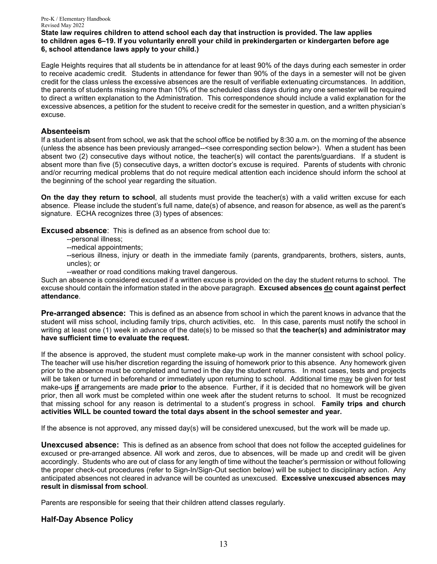#### **State law requires children to attend school each day that instruction is provided. The law applies to children ages 6–19. If you voluntarily enroll your child in prekindergarten or kindergarten before age 6, school attendance laws apply to your child.)**

Eagle Heights requires that all students be in attendance for at least 90% of the days during each semester in order to receive academic credit. Students in attendance for fewer than 90% of the days in a semester will not be given credit for the class unless the excessive absences are the result of verifiable extenuating circumstances. In addition, the parents of students missing more than 10% of the scheduled class days during any one semester will be required to direct a written explanation to the Administration. This correspondence should include a valid explanation for the excessive absences, a petition for the student to receive credit for the semester in question, and a written physician's excuse.

#### **Absenteeism**

If a student is absent from school, we ask that the school office be notified by 8:30 a.m. on the morning of the absence (unless the absence has been previously arranged--<see corresponding section below>). When a student has been absent two (2) consecutive days without notice, the teacher(s) will contact the parents/guardians. If a student is absent more than five (5) consecutive days, a written doctor's excuse is required. Parents of students with chronic and/or recurring medical problems that do not require medical attention each incidence should inform the school at the beginning of the school year regarding the situation.

**On the day they return to school**, all students must provide the teacher(s) with a valid written excuse for each absence. Please include the student's full name, date(s) of absence, and reason for absence, as well as the parent's signature. ECHA recognizes three (3) types of absences:

**Excused absence**: This is defined as an absence from school due to:

- --personal illness;
- --medical appointments;

--serious illness, injury or death in the immediate family (parents, grandparents, brothers, sisters, aunts, uncles); or

--weather or road conditions making travel dangerous.

Such an absence is considered excused if a written excuse is provided on the day the student returns to school. The excuse should contain the information stated in the above paragraph. **Excused absences do count against perfect attendance**.

**Pre-arranged absence:** This is defined as an absence from school in which the parent knows in advance that the student will miss school, including family trips, church activities, etc. In this case, parents must notify the school in writing at least one (1) week in advance of the date(s) to be missed so that **the teacher(s) and administrator may have sufficient time to evaluate the request.**

If the absence is approved, the student must complete make-up work in the manner consistent with school policy. The teacher will use his/her discretion regarding the issuing of homework prior to this absence. Any homework given prior to the absence must be completed and turned in the day the student returns. In most cases, tests and projects will be taken or turned in beforehand or immediately upon returning to school. Additional time may be given for test make-ups **if** arrangements are made **prior** to the absence. Further, if it is decided that no homework will be given prior, then all work must be completed within one week after the student returns to school. It must be recognized that missing school for any reason is detrimental to a student's progress in school. **Family trips and church activities WILL be counted toward the total days absent in the school semester and year.**

If the absence is not approved, any missed day(s) will be considered unexcused, but the work will be made up.

**Unexcused absence:** This is defined as an absence from school that does not follow the accepted guidelines for excused or pre-arranged absence. All work and zeros, due to absences, will be made up and credit will be given accordingly. Students who are out of class for any length of time without the teacher's permission or without following the proper check-out procedures (refer to Sign-In/Sign-Out section below) will be subject to disciplinary action. Any anticipated absences not cleared in advance will be counted as unexcused. **Excessive unexcused absences may result in dismissal from school**.

Parents are responsible for seeing that their children attend classes regularly.

### **Half-Day Absence Policy**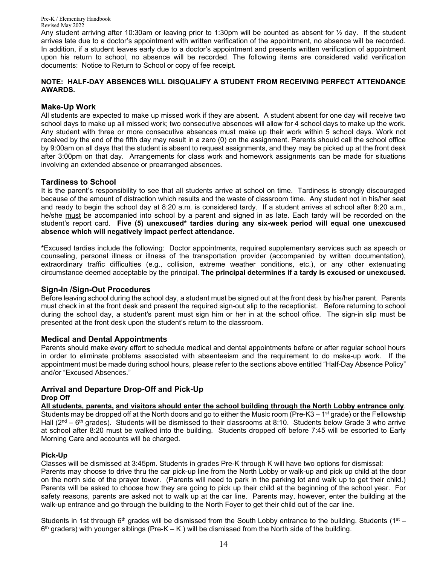Any student arriving after 10:30am or leaving prior to 1:30pm will be counted as absent for ½ day. If the student arrives late due to a doctor's appointment with written verification of the appointment, no absence will be recorded. In addition, if a student leaves early due to a doctor's appointment and presents written verification of appointment upon his return to school, no absence will be recorded. The following items are considered valid verification documents: Notice to Return to School or copy of fee receipt.

#### **NOTE: HALF-DAY ABSENCES WILL DISQUALIFY A STUDENT FROM RECEIVING PERFECT ATTENDANCE AWARDS.**

#### **Make-Up Work**

All students are expected to make up missed work if they are absent. A student absent for one day will receive two school days to make up all missed work; two consecutive absences will allow for 4 school days to make up the work. Any student with three or more consecutive absences must make up their work within 5 school days. Work not received by the end of the fifth day may result in a zero (0) on the assignment. Parents should call the school office by 9:00am on all days that the student is absent to request assignments, and they may be picked up at the front desk after 3:00pm on that day. Arrangements for class work and homework assignments can be made for situations involving an extended absence or prearranged absences.

#### **Tardiness to School**

It is the parent's responsibility to see that all students arrive at school on time. Tardiness is strongly discouraged because of the amount of distraction which results and the waste of classroom time. Any student not in his/her seat and ready to begin the school day at 8:20 a.m. is considered tardy. If a student arrives at school after 8:20 a.m., he/she must be accompanied into school by a parent and signed in as late. Each tardy will be recorded on the student's report card. **Five (5) unexcused\* tardies during any six-week period will equal one unexcused absence which will negatively impact perfect attendance.**

**\***Excused tardies include the following: Doctor appointments, required supplementary services such as speech or counseling, personal illness or illness of the transportation provider (accompanied by written documentation), extraordinary traffic difficulties (e.g., collision, extreme weather conditions, etc.), or any other extenuating circumstance deemed acceptable by the principal. **The principal determines if a tardy is excused or unexcused.**

#### **Sign-In /Sign-Out Procedures**

Before leaving school during the school day, a student must be signed out at the front desk by his/her parent. Parents must check in at the front desk and present the required sign-out slip to the receptionist. Before returning to school during the school day, a student's parent must sign him or her in at the school office. The sign-in slip must be presented at the front desk upon the student's return to the classroom.

#### **Medical and Dental Appointments**

Parents should make every effort to schedule medical and dental appointments before or after regular school hours in order to eliminate problems associated with absenteeism and the requirement to do make-up work. If the appointment must be made during school hours, please refer to the sections above entitled "Half-Day Absence Policy" and/or "Excused Absences."

## **Arrival and Departure Drop-Off and Pick-Up**

#### **Drop Off**

**All students, parents, and visitors should enter the school building through the North Lobby entrance only**. Students may be dropped off at the North doors and go to either the Music room (Pre-K3 – 1<sup>st</sup> grade) or the Fellowship Hall ( $2<sup>nd</sup> - 6<sup>th</sup>$  grades). Students will be dismissed to their classrooms at 8:10. Students below Grade 3 who arrive at school after 8:20 must be walked into the building. Students dropped off before 7:45 will be escorted to Early Morning Care and accounts will be charged.

#### **Pick-Up**

Classes will be dismissed at 3:45pm. Students in grades Pre-K through K will have two options for dismissal: Parents may choose to drive thru the car pick-up line from the North Lobby or walk-up and pick up child at the door on the north side of the prayer tower. (Parents will need to park in the parking lot and walk up to get their child.) Parents will be asked to choose how they are going to pick up their child at the beginning of the school year. For safety reasons, parents are asked not to walk up at the car line. Parents may, however, enter the building at the walk-up entrance and go through the building to the North Foyer to get their child out of the car line.

Students in 1st through 6<sup>th</sup> grades will be dismissed from the South Lobby entrance to the building. Students (1<sup>st</sup> –  $6<sup>th</sup>$  graders) with younger siblings (Pre-K – K) will be dismissed from the North side of the building.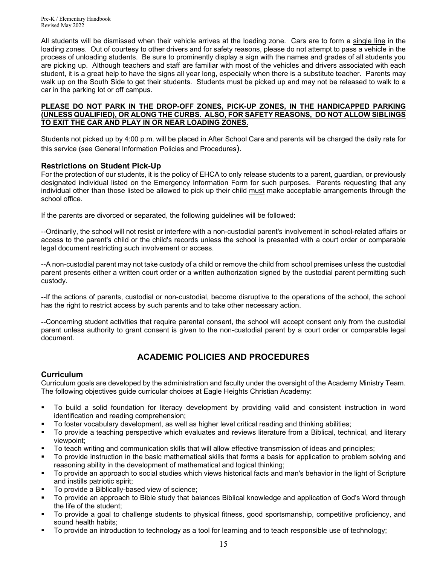All students will be dismissed when their vehicle arrives at the loading zone. Cars are to form a single line in the loading zones. Out of courtesy to other drivers and for safety reasons, please do not attempt to pass a vehicle in the process of unloading students. Be sure to prominently display a sign with the names and grades of all students you are picking up. Although teachers and staff are familiar with most of the vehicles and drivers associated with each student, it is a great help to have the signs all year long, especially when there is a substitute teacher. Parents may walk up on the South Side to get their students. Students must be picked up and may not be released to walk to a car in the parking lot or off campus.

#### **PLEASE DO NOT PARK IN THE DROP-OFF ZONES, PICK-UP ZONES, IN THE HANDICAPPED PARKING (UNLESS QUALIFIED), OR ALONG THE CURBS. ALSO, FOR SAFETY REASONS, DO NOT ALLOW SIBLINGS TO EXIT THE CAR AND PLAY IN OR NEAR LOADING ZONES.**

Students not picked up by 4:00 p.m. will be placed in After School Care and parents will be charged the daily rate for this service (see General Information Policies and Procedures).

#### **Restrictions on Student Pick-Up**

For the protection of our students, it is the policy of EHCA to only release students to a parent, guardian, or previously designated individual listed on the Emergency Information Form for such purposes. Parents requesting that any individual other than those listed be allowed to pick up their child must make acceptable arrangements through the school office.

If the parents are divorced or separated, the following guidelines will be followed:

--Ordinarily, the school will not resist or interfere with a non-custodial parent's involvement in school-related affairs or access to the parent's child or the child's records unless the school is presented with a court order or comparable legal document restricting such involvement or access.

--A non-custodial parent may not take custody of a child or remove the child from school premises unless the custodial parent presents either a written court order or a written authorization signed by the custodial parent permitting such custody.

--If the actions of parents, custodial or non-custodial, become disruptive to the operations of the school, the school has the right to restrict access by such parents and to take other necessary action.

--Concerning student activities that require parental consent, the school will accept consent only from the custodial parent unless authority to grant consent is given to the non-custodial parent by a court order or comparable legal document.

## **ACADEMIC POLICIES AND PROCEDURES**

#### **Curriculum**

Curriculum goals are developed by the administration and faculty under the oversight of the Academy Ministry Team. The following objectives guide curricular choices at Eagle Heights Christian Academy:

- To build a solid foundation for literacy development by providing valid and consistent instruction in word identification and reading comprehension;
- To foster vocabulary development, as well as higher level critical reading and thinking abilities;
- To provide a teaching perspective which evaluates and reviews literature from a Biblical, technical, and literary viewpoint;
- To teach writing and communication skills that will allow effective transmission of ideas and principles;
- To provide instruction in the basic mathematical skills that forms a basis for application to problem solving and reasoning ability in the development of mathematical and logical thinking;
- To provide an approach to social studies which views historical facts and man's behavior in the light of Scripture and instills patriotic spirit;
- To provide a Biblically-based view of science;
- To provide an approach to Bible study that balances Biblical knowledge and application of God's Word through the life of the student;
- To provide a goal to challenge students to physical fitness, good sportsmanship, competitive proficiency, and sound health habits;
- To provide an introduction to technology as a tool for learning and to teach responsible use of technology;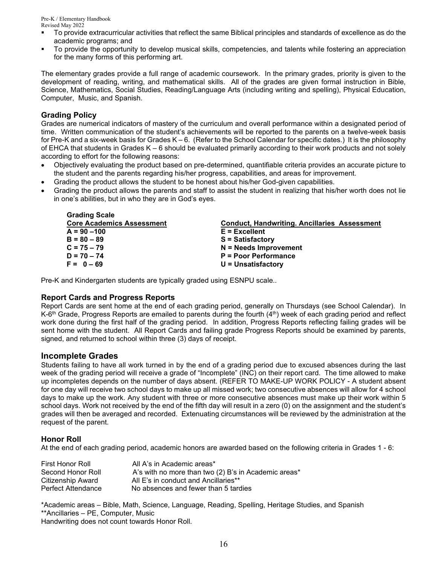- To provide extracurricular activities that reflect the same Biblical principles and standards of excellence as do the academic programs; and
- To provide the opportunity to develop musical skills, competencies, and talents while fostering an appreciation for the many forms of this performing art.

The elementary grades provide a full range of academic coursework. In the primary grades, priority is given to the development of reading, writing, and mathematical skills. All of the grades are given formal instruction in Bible, Science, Mathematics, Social Studies, Reading/Language Arts (including writing and spelling), Physical Education, Computer, Music, and Spanish.

#### **Grading Policy**

Grades are numerical indicators of mastery of the curriculum and overall performance within a designated period of time. Written communication of the student's achievements will be reported to the parents on a twelve-week basis for Pre-K and a six-week basis for Grades  $K - 6$ . (Refer to the School Calendar for specific dates.) It is the philosophy of EHCA that students in Grades K – 6 should be evaluated primarily according to their work products and not solely according to effort for the following reasons:

- Objectively evaluating the product based on pre-determined, quantifiable criteria provides an accurate picture to the student and the parents regarding his/her progress, capabilities, and areas for improvement.
- Grading the product allows the student to be honest about his/her God-given capabilities.
- Grading the product allows the parents and staff to assist the student in realizing that his/her worth does not lie in one's abilities, but in who they are in God's eyes.

| <b>Conduct, Handwriting. Ancillaries Assessment</b> |
|-----------------------------------------------------|
| $E = Excellent$                                     |
| <b>S</b> = Satisfactory                             |
| $N =$ Needs Improvement                             |
| P = Poor Performance                                |
| $U =$ Unsatisfactory                                |
|                                                     |

Pre-K and Kindergarten students are typically graded using ESNPU scale..

#### **Report Cards and Progress Reports**

Report Cards are sent home at the end of each grading period, generally on Thursdays (see School Calendar). In  $K$ -6<sup>th</sup> Grade, Progress Reports are emailed to parents during the fourth  $(4<sup>th</sup>)$  week of each grading period and reflect work done during the first half of the grading period. In addition, Progress Reports reflecting failing grades will be sent home with the student. All Report Cards and failing grade Progress Reports should be examined by parents, signed, and returned to school within three (3) days of receipt.

### **Incomplete Grades**

Students failing to have all work turned in by the end of a grading period due to excused absences during the last week of the grading period will receive a grade of "Incomplete" (INC) on their report card. The time allowed to make up incompletes depends on the number of days absent. (REFER TO MAKE-UP WORK POLICY - A student absent for one day will receive two school days to make up all missed work; two consecutive absences will allow for 4 school days to make up the work. Any student with three or more consecutive absences must make up their work within 5 school days. Work not received by the end of the fifth day will result in a zero (0) on the assignment and the student's grades will then be averaged and recorded. Extenuating circumstances will be reviewed by the administration at the request of the parent.

### **Honor Roll**

At the end of each grading period, academic honors are awarded based on the following criteria in Grades 1 - 6:

| First Honor Roll          | All A's in Academic areas*                           |
|---------------------------|------------------------------------------------------|
| Second Honor Roll         | A's with no more than two (2) B's in Academic areas* |
| Citizenship Award         | All E's in conduct and Ancillaries**                 |
| <b>Perfect Attendance</b> | No absences and fewer than 5 tardies                 |

\*Academic areas – Bible, Math, Science, Language, Reading, Spelling, Heritage Studies, and Spanish \*\*Ancillaries – PE, Computer, Music

Handwriting does not count towards Honor Roll.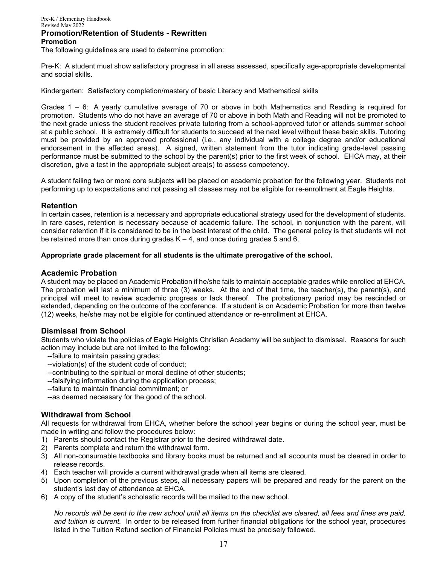#### **Promotion/Retention of Students - Rewritten Promotion**

The following guidelines are used to determine promotion:

Pre-K: A student must show satisfactory progress in all areas assessed, specifically age-appropriate developmental and social skills.

Kindergarten: Satisfactory completion/mastery of basic Literacy and Mathematical skills

Grades 1 – 6: A yearly cumulative average of 70 or above in both Mathematics and Reading is required for promotion. Students who do not have an average of 70 or above in both Math and Reading will not be promoted to the next grade unless the student receives private tutoring from a school-approved tutor or attends summer school at a public school. It is extremely difficult for students to succeed at the next level without these basic skills. Tutoring must be provided by an approved professional (i.e., any individual with a college degree and/or educational endorsement in the affected areas). A signed, written statement from the tutor indicating grade-level passing performance must be submitted to the school by the parent(s) prior to the first week of school. EHCA may, at their discretion, give a test in the appropriate subject area(s) to assess competency.

A student failing two or more core subjects will be placed on academic probation for the following year. Students not performing up to expectations and not passing all classes may not be eligible for re-enrollment at Eagle Heights.

#### **Retention**

In certain cases, retention is a necessary and appropriate educational strategy used for the development of students. In rare cases, retention is necessary because of academic failure. The school, in conjunction with the parent, will consider retention if it is considered to be in the best interest of the child. The general policy is that students will not be retained more than once during grades  $K - 4$ , and once during grades 5 and 6.

#### **Appropriate grade placement for all students is the ultimate prerogative of the school.**

#### **Academic Probation**

A student may be placed on Academic Probation if he/she fails to maintain acceptable grades while enrolled at EHCA. The probation will last a minimum of three (3) weeks. At the end of that time, the teacher(s), the parent(s), and principal will meet to review academic progress or lack thereof. The probationary period may be rescinded or extended, depending on the outcome of the conference. If a student is on Academic Probation for more than twelve (12) weeks, he/she may not be eligible for continued attendance or re-enrollment at EHCA.

#### **Dismissal from School**

Students who violate the policies of Eagle Heights Christian Academy will be subject to dismissal. Reasons for such action may include but are not limited to the following:

- --failure to maintain passing grades;
- --violation(s) of the student code of conduct;
- --contributing to the spiritual or moral decline of other students;
- --falsifying information during the application process;
- --failure to maintain financial commitment; or
- --as deemed necessary for the good of the school.

#### **Withdrawal from School**

All requests for withdrawal from EHCA, whether before the school year begins or during the school year, must be made in writing and follow the procedures below:

- 1) Parents should contact the Registrar prior to the desired withdrawal date.
- 2) Parents complete and return the withdrawal form.
- 3) All non-consumable textbooks and library books must be returned and all accounts must be cleared in order to release records.
- 4) Each teacher will provide a current withdrawal grade when all items are cleared.
- 5) Upon completion of the previous steps, all necessary papers will be prepared and ready for the parent on the student's last day of attendance at EHCA.
- 6) A copy of the student's scholastic records will be mailed to the new school.

*No records will be sent to the new school until all items on the checklist are cleared, all fees and fines are paid, and tuition is current.* In order to be released from further financial obligations for the school year, procedures listed in the Tuition Refund section of Financial Policies must be precisely followed.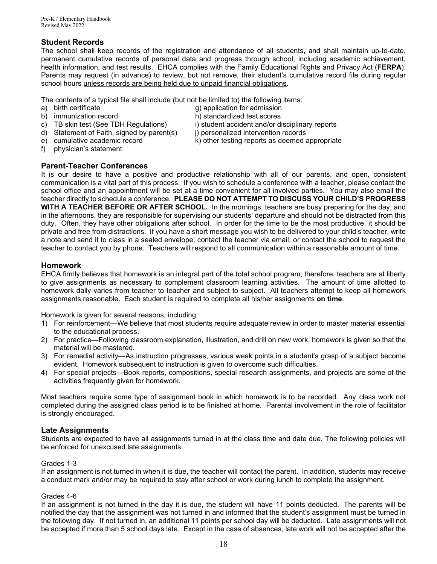#### **Student Records**

The school shall keep records of the registration and attendance of all students, and shall maintain up-to-date, permanent cumulative records of personal data and progress through school, including academic achievement, health information, and test results. EHCA complies with the Family Educational Rights and Privacy Act (**FERPA**). Parents may request (in advance) to review, but not remove, their student's cumulative record file during regular school hours unless records are being held due to unpaid financial obligations.

The contents of a typical file shall include (but not be limited to) the following items:

- 
- 
- a) birth certificate and the g) application for admission and g) application for admission b) immunization record
	- h) standardized test scores
- c) TB skin test (See TDH Regulations) i) student accident and/or disciplinary reports
- d) Statement of Faith, signed by parent(s) i) personalized intervention records
- 
- e) cumulative academic record k) other testing reports as deemed appropriate
- f) physician's statement

#### **Parent-Teacher Conferences**

It is our desire to have a positive and productive relationship with all of our parents, and open, consistent communication is a vital part of this process. If you wish to schedule a conference with a teacher, please contact the school office and an appointment will be set at a time convenient for all involved parties. You may also email the teacher directly to schedule a conference. **PLEASE DO NOT ATTEMPT TO DISCUSS YOUR CHILD'S PROGRESS WITH A TEACHER BEFORE OR AFTER SCHOOL.** In the mornings, teachers are busy preparing for the day, and in the afternoons, they are responsible for supervising our students' departure and should not be distracted from this duty. Often, they have other obligations after school. In order for the time to be the most productive, it should be private and free from distractions. If you have a short message you wish to be delivered to your child's teacher, write a note and send it to class in a sealed envelope, contact the teacher via email, or contact the school to request the teacher to contact you by phone. Teachers will respond to all communication within a reasonable amount of time.

#### **Homework**

EHCA firmly believes that homework is an integral part of the total school program; therefore, teachers are at liberty to give assignments as necessary to complement classroom learning activities. The amount of time allotted to homework daily varies from teacher to teacher and subject to subject. All teachers attempt to keep all homework assignments reasonable. Each student is required to complete all his/her assignments **on time**.

Homework is given for several reasons, including:

- 1) For reinforcement—We believe that most students require adequate review in order to master material essential to the educational process.
- 2) For practice—Following classroom explanation, illustration, and drill on new work, homework is given so that the material will be mastered.
- 3) For remedial activity—As instruction progresses, various weak points in a student's grasp of a subject become evident. Homework subsequent to instruction is given to overcome such difficulties.
- 4) For special projects—Book reports, compositions, special research assignments, and projects are some of the activities frequently given for homework.

Most teachers require some type of assignment book in which homework is to be recorded. Any class work not completed during the assigned class period is to be finished at home. Parental involvement in the role of facilitator is strongly encouraged.

#### **Late Assignments**

Students are expected to have all assignments turned in at the class time and date due. The following policies will be enforced for unexcused late assignments.

#### Grades 1-3

If an assignment is not turned in when it is due, the teacher will contact the parent. In addition, students may receive a conduct mark and/or may be required to stay after school or work during lunch to complete the assignment.

#### Grades 4-6

If an assignment is not turned in the day it is due, the student will have 11 points deducted. The parents will be notified the day that the assignment was not turned in and informed that the student's assignment must be turned in the following day. If not turned in, an additional 11 points per school day will be deducted. Late assignments will not be accepted if more than 5 school days late. Except in the case of absences, late work will not be accepted after the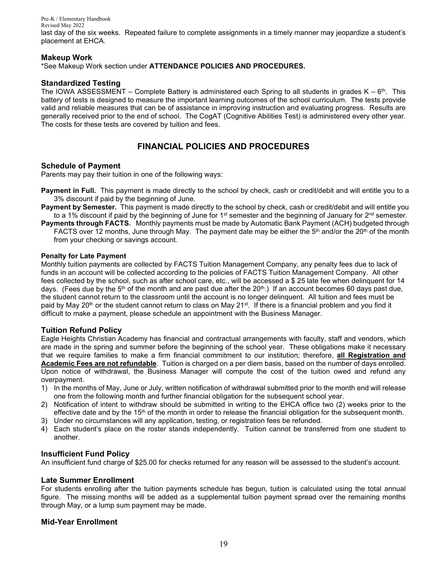Pre-K / Elementary Handbook Revised May 2022 last day of the six weeks. Repeated failure to complete assignments in a timely manner may jeopardize a student's placement at EHCA.

#### **Makeup Work**

\*See Makeup Work section under **ATTENDANCE POLICIES AND PROCEDURES.**

#### **Standardized Testing**

The IOWA ASSESSMENT – Complete Battery is administered each Spring to all students in grades  $K - 6<sup>th</sup>$ . This battery of tests is designed to measure the important learning outcomes of the school curriculum. The tests provide valid and reliable measures that can be of assistance in improving instruction and evaluating progress. Results are generally received prior to the end of school. The CogAT (Cognitive Abilities Test) is administered every other year. The costs for these tests are covered by tuition and fees.

## **FINANCIAL POLICIES AND PROCEDURES**

#### **Schedule of Payment**

Parents may pay their tuition in one of the following ways:

- **Payment in Full.** This payment is made directly to the school by check, cash or credit/debit and will entitle you to a 3% discount if paid by the beginning of June.
- **Payment by Semester.** This payment is made directly to the school by check, cash or credit/debit and will entitle you to a 1% discount if paid by the beginning of June for 1<sup>st</sup> semester and the beginning of January for  $2^{nd}$  semester.
- **Payments through FACTS.** Monthly payments must be made by Automatic Bank Payment (ACH) budgeted through FACTS over 12 months, June through May. The payment date may be either the  $5<sup>th</sup>$  and/or the  $20<sup>th</sup>$  of the month from your checking or savings account.

#### **Penalty for Late Payment**

Monthly tuition payments are collected by FACTS Tuition Management Company, any penalty fees due to lack of funds in an account will be collected according to the policies of FACTS Tuition Management Company. All other fees collected by the school, such as after school care, etc., will be accessed a \$ 25 late fee when delinquent for 14 days. (Fees due by the 5<sup>th</sup> of the month and are past due after the 20<sup>th</sup>.) If an account becomes 60 days past due, the student cannot return to the classroom until the account is no longer delinquent. All tuition and fees must be paid by May 20<sup>th</sup> or the student cannot return to class on May 21<sup>st</sup>. If there is a financial problem and you find it difficult to make a payment, please schedule an appointment with the Business Manager.

#### **Tuition Refund Policy**

Eagle Heights Christian Academy has financial and contractual arrangements with faculty, staff and vendors, which are made in the spring and summer before the beginning of the school year. These obligations make it necessary that we require families to make a firm financial commitment to our institution; therefore, **all Registration and Academic Fees are not refundable**. Tuition is charged on a per diem basis, based on the number of days enrolled. Upon notice of withdrawal, the Business Manager will compute the cost of the tuition owed and refund any overpayment.

- 1) In the months of May, June or July, written notification of withdrawal submitted prior to the month end will release one from the following month and further financial obligation for the subsequent school year.
- 2) Notification of intent to withdraw should be submitted in writing to the EHCA office two (2) weeks prior to the effective date and by the  $15<sup>th</sup>$  of the month in order to release the financial obligation for the subsequent month.
- 3) Under no circumstances will any application, testing, or registration fees be refunded.
- 4) Each student's place on the roster stands independently. Tuition cannot be transferred from one student to another.

#### **Insufficient Fund Policy**

An insufficient fund charge of \$25.00 for checks returned for any reason will be assessed to the student's account.

#### **Late Summer Enrollment**

For students enrolling after the tuition payments schedule has begun, tuition is calculated using the total annual figure. The missing months will be added as a supplemental tuition payment spread over the remaining months through May, or a lump sum payment may be made.

#### **Mid-Year Enrollment**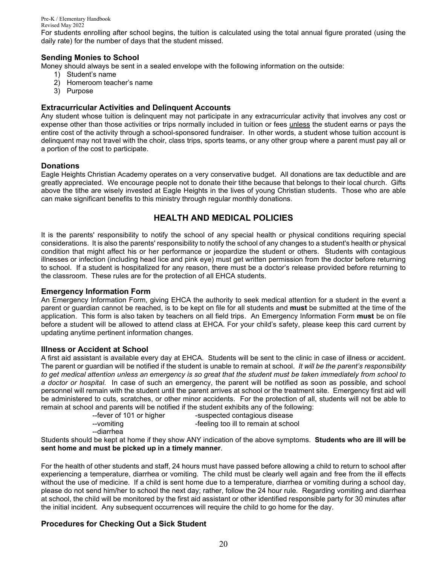For students enrolling after school begins, the tuition is calculated using the total annual figure prorated (using the daily rate) for the number of days that the student missed.

#### **Sending Monies to School**

Money should always be sent in a sealed envelope with the following information on the outside:

- 1) Student's name
- 2) Homeroom teacher's name
- 3) Purpose

#### **Extracurricular Activities and Delinquent Accounts**

Any student whose tuition is delinquent may not participate in any extracurricular activity that involves any cost or expense other than those activities or trips normally included in tuition or fees unless the student earns or pays the entire cost of the activity through a school-sponsored fundraiser. In other words, a student whose tuition account is delinquent may not travel with the choir, class trips, sports teams, or any other group where a parent must pay all or a portion of the cost to participate.

#### **Donations**

Eagle Heights Christian Academy operates on a very conservative budget. All donations are tax deductible and are greatly appreciated. We encourage people not to donate their tithe because that belongs to their local church. Gifts above the tithe are wisely invested at Eagle Heights in the lives of young Christian students. Those who are able can make significant benefits to this ministry through regular monthly donations.

## **HEALTH AND MEDICAL POLICIES**

It is the parents' responsibility to notify the school of any special health or physical conditions requiring special considerations. It is also the parents' responsibility to notify the school of any changes to a student's health or physical condition that might affect his or her performance or jeopardize the student or others. Students with contagious illnesses or infection (including head lice and pink eye) must get written permission from the doctor before returning to school. If a student is hospitalized for any reason, there must be a doctor's release provided before returning to the classroom. These rules are for the protection of all EHCA students.

#### **Emergency Information Form**

An Emergency Information Form, giving EHCA the authority to seek medical attention for a student in the event a parent or guardian cannot be reached, is to be kept on file for all students and **must** be submitted at the time of the application. This form is also taken by teachers on all field trips. An Emergency Information Form **must** be on file before a student will be allowed to attend class at EHCA. For your child's safety, please keep this card current by updating anytime pertinent information changes.

#### **Illness or Accident at School**

A first aid assistant is available every day at EHCA. Students will be sent to the clinic in case of illness or accident. The parent or guardian will be notified if the student is unable to remain at school. *It will be the parent's responsibility to get medical attention unless an emergency is so great that the student must be taken immediately from school to a doctor or hospital*. In case of such an emergency, the parent will be notified as soon as possible, and school personnel will remain with the student until the parent arrives at school or the treatment site. Emergency first aid will be administered to cuts, scratches, or other minor accidents. For the protection of all, students will not be able to remain at school and parents will be notified if the student exhibits any of the following:

- --fever of 101 or higher -suspected contagious disease
- --vomiting --vomiting --vomiting ---

#### --diarrhea

Students should be kept at home if they show ANY indication of the above symptoms. **Students who are ill will be sent home and must be picked up in a timely manner**.

For the health of other students and staff, 24 hours must have passed before allowing a child to return to school after experiencing a temperature, diarrhea or vomiting. The child must be clearly well again and free from the ill effects without the use of medicine. If a child is sent home due to a temperature, diarrhea or vomiting during a school day, please do not send him/her to school the next day; rather, follow the 24 hour rule. Regarding vomiting and diarrhea at school, the child will be monitored by the first aid assistant or other identified responsible party for 30 minutes after the initial incident. Any subsequent occurrences will require the child to go home for the day.

#### **Procedures for Checking Out a Sick Student**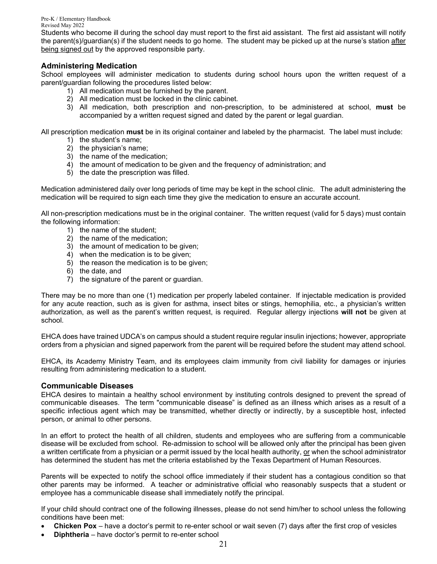Students who become ill during the school day must report to the first aid assistant. The first aid assistant will notify the parent(s)/guardian(s) if the student needs to go home. The student may be picked up at the nurse's station after being signed out by the approved responsible party.

### **Administering Medication**

School employees will administer medication to students during school hours upon the written request of a parent/guardian following the procedures listed below:

- 1) All medication must be furnished by the parent.
- 2) All medication must be locked in the clinic cabinet.
- 3) All medication, both prescription and non-prescription, to be administered at school, **must** be accompanied by a written request signed and dated by the parent or legal guardian.

All prescription medication **must** be in its original container and labeled by the pharmacist. The label must include:

- 1) the student's name;
- 2) the physician's name;
- 3) the name of the medication;
- 4) the amount of medication to be given and the frequency of administration; and
- 5) the date the prescription was filled.

Medication administered daily over long periods of time may be kept in the school clinic. The adult administering the medication will be required to sign each time they give the medication to ensure an accurate account.

All non-prescription medications must be in the original container. The written request (valid for 5 days) must contain the following information:

- 1) the name of the student;
- 2) the name of the medication;
- 3) the amount of medication to be given;
- 4) when the medication is to be given;
- $5$ ) the reason the medication is to be given;
- 6) the date, and
- 7) the signature of the parent or guardian.

There may be no more than one (1) medication per properly labeled container. If injectable medication is provided for any acute reaction, such as is given for asthma, insect bites or stings, hemophilia, etc., a physician's written authorization, as well as the parent's written request, is required. Regular allergy injections **will not** be given at school.

EHCA does have trained UDCA's on campus should a student require regular insulin injections; however, appropriate orders from a physician and signed paperwork from the parent will be required before the student may attend school.

EHCA, its Academy Ministry Team, and its employees claim immunity from civil liability for damages or injuries resulting from administering medication to a student.

#### **Communicable Diseases**

EHCA desires to maintain a healthy school environment by instituting controls designed to prevent the spread of communicable diseases. The term "communicable disease" is defined as an illness which arises as a result of a specific infectious agent which may be transmitted, whether directly or indirectly, by a susceptible host, infected person, or animal to other persons.

In an effort to protect the health of all children, students and employees who are suffering from a communicable disease will be excluded from school. Re-admission to school will be allowed only after the principal has been given a written certificate from a physician or a permit issued by the local health authority, or when the school administrator has determined the student has met the criteria established by the Texas Department of Human Resources.

Parents will be expected to notify the school office immediately if their student has a contagious condition so that other parents may be informed. A teacher or administrative official who reasonably suspects that a student or employee has a communicable disease shall immediately notify the principal.

If your child should contract one of the following illnesses, please do not send him/her to school unless the following conditions have been met:

- **Chicken Pox** have a doctor's permit to re-enter school or wait seven (7) days after the first crop of vesicles
- **Diphtheria** have doctor's permit to re-enter school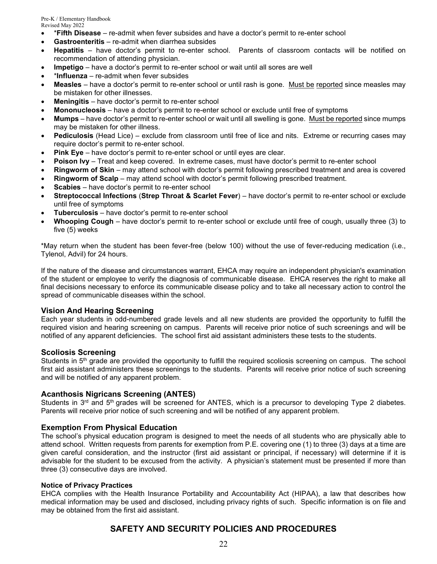- \***Fifth Disease** re-admit when fever subsides and have a doctor's permit to re-enter school
- **Gastroenteritis** re-admit when diarrhea subsides
- **Hepatitis** have doctor's permit to re-enter school. Parents of classroom contacts will be notified on recommendation of attending physician.
- **Impetigo** have a doctor's permit to re-enter school or wait until all sores are well
- \***Influenza** re-admit when fever subsides
- **Measles** have a doctor's permit to re-enter school or until rash is gone. Must be reported since measles may be mistaken for other illnesses.
- **Meningitis** have doctor's permit to re-enter school
- **Mononucleosis** have a doctor's permit to re-enter school or exclude until free of symptoms
- **Mumps** have doctor's permit to re-enter school or wait until all swelling is gone. Must be reported since mumps may be mistaken for other illness.
- **Pediculosis** (Head Lice) exclude from classroom until free of lice and nits. Extreme or recurring cases may require doctor's permit to re-enter school.
- **Pink Eye** have doctor's permit to re-enter school or until eyes are clear.
- **Poison Ivy** Treat and keep covered. In extreme cases, must have doctor's permit to re-enter school
- **Ringworm of Skin** may attend school with doctor's permit following prescribed treatment and area is covered
- **Ringworm of Scalp** may attend school with doctor's permit following prescribed treatment.
- **Scabies** have doctor's permit to re-enter school
- **Streptococcal Infections** (**Strep Throat & Scarlet Fever**) have doctor's permit to re-enter school or exclude until free of symptoms
- **Tuberculosis** have doctor's permit to re-enter school
- **Whooping Cough** have doctor's permit to re-enter school or exclude until free of cough, usually three (3) to five (5) weeks

\*May return when the student has been fever-free (below 100) without the use of fever-reducing medication (i.e., Tylenol, Advil) for 24 hours.

If the nature of the disease and circumstances warrant, EHCA may require an independent physician's examination of the student or employee to verify the diagnosis of communicable disease. EHCA reserves the right to make all final decisions necessary to enforce its communicable disease policy and to take all necessary action to control the spread of communicable diseases within the school.

#### **Vision And Hearing Screening**

Each year students in odd-numbered grade levels and all new students are provided the opportunity to fulfill the required vision and hearing screening on campus. Parents will receive prior notice of such screenings and will be notified of any apparent deficiencies. The school first aid assistant administers these tests to the students.

#### **Scoliosis Screening**

Students in 5<sup>th</sup> grade are provided the opportunity to fulfill the required scoliosis screening on campus. The school first aid assistant administers these screenings to the students. Parents will receive prior notice of such screening and will be notified of any apparent problem.

#### **Acanthosis Nigricans Screening (ANTES)**

Students in 3<sup>rd</sup> and 5<sup>th</sup> grades will be screened for ANTES, which is a precursor to developing Type 2 diabetes. Parents will receive prior notice of such screening and will be notified of any apparent problem.

#### **Exemption From Physical Education**

The school's physical education program is designed to meet the needs of all students who are physically able to attend school. Written requests from parents for exemption from P.E. covering one (1) to three (3) days at a time are given careful consideration, and the instructor (first aid assistant or principal, if necessary) will determine if it is advisable for the student to be excused from the activity. A physician's statement must be presented if more than three (3) consecutive days are involved.

#### **Notice of Privacy Practices**

EHCA complies with the Health Insurance Portability and Accountability Act (HIPAA), a law that describes how medical information may be used and disclosed, including privacy rights of such. Specific information is on file and may be obtained from the first aid assistant.

### **SAFETY AND SECURITY POLICIES AND PROCEDURES**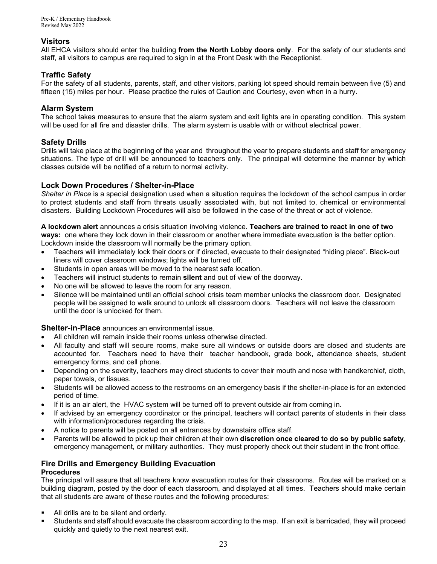### **Visitors**

All EHCA visitors should enter the building **from the North Lobby doors only**. For the safety of our students and staff, all visitors to campus are required to sign in at the Front Desk with the Receptionist.

#### **Traffic Safety**

For the safety of all students, parents, staff, and other visitors, parking lot speed should remain between five (5) and fifteen (15) miles per hour. Please practice the rules of Caution and Courtesy, even when in a hurry.

#### **Alarm System**

The school takes measures to ensure that the alarm system and exit lights are in operating condition. This system will be used for all fire and disaster drills. The alarm system is usable with or without electrical power.

#### **Safety Drills**

Drills will take place at the beginning of the year and throughout the year to prepare students and staff for emergency situations. The type of drill will be announced to teachers only. The principal will determine the manner by which classes outside will be notified of a return to normal activity.

#### **Lock Down Procedures / Shelter-in-Place**

*Shelter in Place* is a special designation used when a situation requires the lockdown of the school campus in order to protect students and staff from threats usually associated with, but not limited to, chemical or environmental disasters. Building Lockdown Procedures will also be followed in the case of the threat or act of violence.

**A lockdown alert** announces a crisis situation involving violence. **Teachers are trained to react in one of two ways:** one where they lock down in their classroom or another where immediate evacuation is the better option. Lockdown inside the classroom will normally be the primary option.

- Teachers will immediately lock their doors or if directed, evacuate to their designated "hiding place". Black-out liners will cover classroom windows; lights will be turned off.
- Students in open areas will be moved to the nearest safe location.
- Teachers will instruct students to remain **silent** and out of view of the doorway.
- No one will be allowed to leave the room for any reason.
- Silence will be maintained until an official school crisis team member unlocks the classroom door. Designated people will be assigned to walk around to unlock all classroom doors. Teachers will not leave the classroom until the door is unlocked for them.

#### **Shelter-in-Place** announces an environmental issue.

- All children will remain inside their rooms unless otherwise directed.
- All faculty and staff will secure rooms, make sure all windows or outside doors are closed and students are accounted for. Teachers need to have their teacher handbook, grade book, attendance sheets, student emergency forms, and cell phone.
- Depending on the severity, teachers may direct students to cover their mouth and nose with handkerchief, cloth, paper towels, or tissues.
- Students will be allowed access to the restrooms on an emergency basis if the shelter-in-place is for an extended period of time.
- If it is an air alert, the HVAC system will be turned off to prevent outside air from coming in.
- If advised by an emergency coordinator or the principal, teachers will contact parents of students in their class with information/procedures regarding the crisis.
- A notice to parents will be posted on all entrances by downstairs office staff.
- Parents will be allowed to pick up their children at their own **discretion once cleared to do so by public safety**, emergency management, or military authorities. They must properly check out their student in the front office.

#### **Fire Drills and Emergency Building Evacuation Procedures**

The principal will assure that all teachers know evacuation routes for their classrooms. Routes will be marked on a building diagram, posted by the door of each classroom, and displayed at all times. Teachers should make certain that all students are aware of these routes and the following procedures:

- All drills are to be silent and orderly.
- Students and staff should evacuate the classroom according to the map. If an exit is barricaded, they will proceed quickly and quietly to the next nearest exit.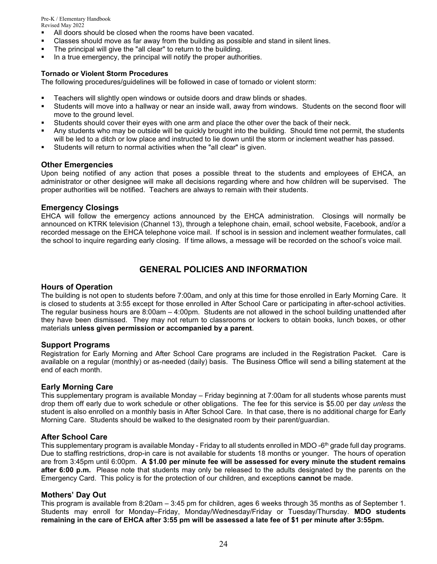- All doors should be closed when the rooms have been vacated.
- Classes should move as far away from the building as possible and stand in silent lines.
- The principal will give the "all clear" to return to the building.
- In a true emergency, the principal will notify the proper authorities.

#### **Tornado or Violent Storm Procedures**

The following procedures/guidelines will be followed in case of tornado or violent storm:

- **Teachers will slightly open windows or outside doors and draw blinds or shades.**
- Students will move into a hallway or near an inside wall, away from windows. Students on the second floor will move to the ground level.
- Students should cover their eyes with one arm and place the other over the back of their neck.
- Any students who may be outside will be quickly brought into the building. Should time not permit, the students will be led to a ditch or low place and instructed to lie down until the storm or inclement weather has passed.
- Students will return to normal activities when the "all clear" is given.

#### **Other Emergencies**

Upon being notified of any action that poses a possible threat to the students and employees of EHCA, an administrator or other designee will make all decisions regarding where and how children will be supervised. The proper authorities will be notified. Teachers are always to remain with their students.

#### **Emergency Closings**

EHCA will follow the emergency actions announced by the EHCA administration. Closings will normally be announced on KTRK television (Channel 13), through a telephone chain, email, school website, Facebook, and/or a recorded message on the EHCA telephone voice mail. If school is in session and inclement weather formulates, call the school to inquire regarding early closing. If time allows, a message will be recorded on the school's voice mail.

## **GENERAL POLICIES AND INFORMATION**

#### **Hours of Operation**

The building is not open to students before 7:00am, and only at this time for those enrolled in Early Morning Care. It is closed to students at 3:55 except for those enrolled in After School Care or participating in after-school activities. The regular business hours are 8:00am – 4:00pm. Students are not allowed in the school building unattended after they have been dismissed. They may not return to classrooms or lockers to obtain books, lunch boxes, or other materials **unless given permission or accompanied by a parent**.

#### **Support Programs**

Registration for Early Morning and After School Care programs are included in the Registration Packet. Care is available on a regular (monthly) or as-needed (daily) basis. The Business Office will send a billing statement at the end of each month.

#### **Early Morning Care**

This supplementary program is available Monday – Friday beginning at 7:00am for all students whose parents must drop them off early due to work schedule or other obligations. The fee for this service is \$5.00 per day *unless* the student is also enrolled on a monthly basis in After School Care. In that case, there is no additional charge for Early Morning Care. Students should be walked to the designated room by their parent/guardian.

#### **After School Care**

This supplementary program is available Monday - Friday to all students enrolled in MDO -6<sup>th</sup> grade full day programs. Due to staffing restrictions, drop-in care is not available for students 18 months or younger. The hours of operation are from 3:45pm until 6:00pm. **A \$1.00 per minute fee will be assessed for every minute the student remains after 6:00 p.m.** Please note that students may only be released to the adults designated by the parents on the Emergency Card. This policy is for the protection of our children, and exceptions **cannot** be made.

#### **Mothers' Day Out**

This program is available from 8:20am – 3:45 pm for children, ages 6 weeks through 35 months as of September 1. Students may enroll for Monday–Friday, Monday/Wednesday/Friday or Tuesday/Thursday. **MDO students remaining in the care of EHCA after 3:55 pm will be assessed a late fee of \$1 per minute after 3:55pm.**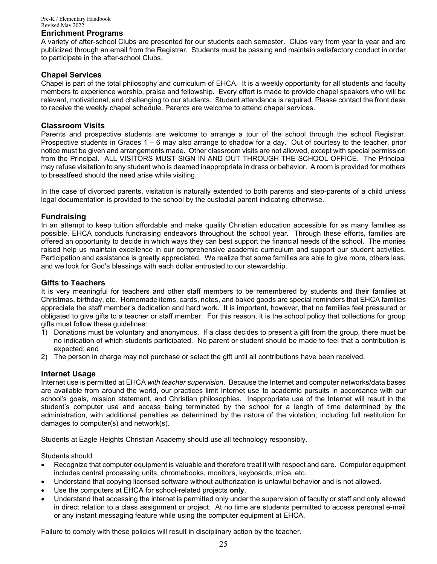#### **Enrichment Programs**

A variety of after-school Clubs are presented for our students each semester. Clubs vary from year to year and are publicized through an email from the Registrar. Students must be passing and maintain satisfactory conduct in order to participate in the after-school Clubs.

#### **Chapel Services**

Chapel is part of the total philosophy and curriculum of EHCA. It is a weekly opportunity for all students and faculty members to experience worship, praise and fellowship. Every effort is made to provide chapel speakers who will be relevant, motivational, and challenging to our students. Student attendance is required. Please contact the front desk to receive the weekly chapel schedule. Parents are welcome to attend chapel services.

#### **Classroom Visits**

Parents and prospective students are welcome to arrange a tour of the school through the school Registrar. Prospective students in Grades 1 – 6 may also arrange to shadow for a day. Out of courtesy to the teacher, prior notice must be given and arrangements made. Other classroom visits are not allowed, except with special permission from the Principal. ALL VISITORS MUST SIGN IN AND OUT THROUGH THE SCHOOL OFFICE. The Principal may refuse visitation to any student who is deemed inappropriate in dress or behavior. A room is provided for mothers to breastfeed should the need arise while visiting.

In the case of divorced parents, visitation is naturally extended to both parents and step-parents of a child unless legal documentation is provided to the school by the custodial parent indicating otherwise.

#### **Fundraising**

In an attempt to keep tuition affordable and make quality Christian education accessible for as many families as possible, EHCA conducts fundraising endeavors throughout the school year. Through these efforts, families are offered an opportunity to decide in which ways they can best support the financial needs of the school. The monies raised help us maintain excellence in our comprehensive academic curriculum and support our student activities. Participation and assistance is greatly appreciated. We realize that some families are able to give more, others less, and we look for God's blessings with each dollar entrusted to our stewardship.

#### **Gifts to Teachers**

It is very meaningful for teachers and other staff members to be remembered by students and their families at Christmas, birthday, etc. Homemade items, cards, notes, and baked goods are special reminders that EHCA families appreciate the staff member's dedication and hard work. It is important, however, that no families feel pressured or obligated to give gifts to a teacher or staff member. For this reason, it is the school policy that collections for group gifts must follow these guidelines:

- 1) Donations must be voluntary and anonymous. If a class decides to present a gift from the group, there must be no indication of which students participated. No parent or student should be made to feel that a contribution is expected; and
- 2) The person in charge may not purchase or select the gift until all contributions have been received.

#### **Internet Usage**

Internet use is permitted at EHCA *with teacher supervision*. Because the Internet and computer networks/data bases are available from around the world, our practices limit Internet use to academic pursuits in accordance with our school's goals, mission statement, and Christian philosophies. Inappropriate use of the Internet will result in the student's computer use and access being terminated by the school for a length of time determined by the administration, with additional penalties as determined by the nature of the violation, including full restitution for damages to computer(s) and network(s).

Students at Eagle Heights Christian Academy should use all technology responsibly.

Students should:

- Recognize that computer equipment is valuable and therefore treat it with respect and care. Computer equipment includes central processing units, chromebooks, monitors, keyboards, mice, etc.
- Understand that copying licensed software without authorization is unlawful behavior and is not allowed.
- Use the computers at EHCA for school-related projects **only**.
- Understand that accessing the internet is permitted only under the supervision of faculty or staff and only allowed in direct relation to a class assignment or project. At no time are students permitted to access personal e-mail or any instant messaging feature while using the computer equipment at EHCA.

Failure to comply with these policies will result in disciplinary action by the teacher.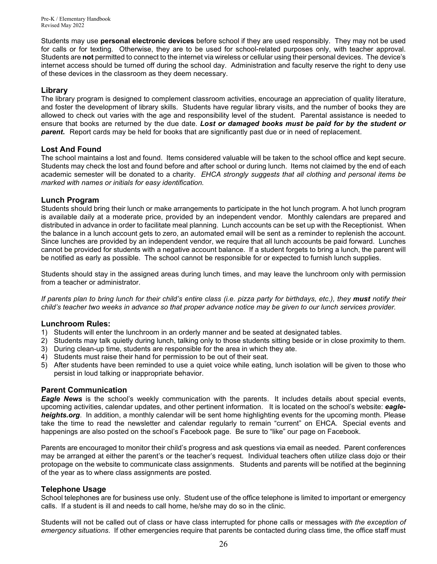Students may use **personal electronic devices** before school if they are used responsibly. They may not be used for calls or for texting. Otherwise, they are to be used for school-related purposes only, with teacher approval. Students are **not** permitted to connect to the internet via wireless or cellular using their personal devices. The device's internet access should be turned off during the school day. Administration and faculty reserve the right to deny use of these devices in the classroom as they deem necessary.

### **Library**

The library program is designed to complement classroom activities, encourage an appreciation of quality literature, and foster the development of library skills. Students have regular library visits, and the number of books they are allowed to check out varies with the age and responsibility level of the student. Parental assistance is needed to ensure that books are returned by the due date. *Lost or damaged books must be paid for by the student or parent***.** Report cards may be held for books that are significantly past due or in need of replacement.

### **Lost And Found**

The school maintains a lost and found. Items considered valuable will be taken to the school office and kept secure. Students may check the lost and found before and after school or during lunch. Items not claimed by the end of each academic semester will be donated to a charity. *EHCA strongly suggests that all clothing and personal items be marked with names or initials for easy identification.*

#### **Lunch Program**

Students should bring their lunch or make arrangements to participate in the hot lunch program. A hot lunch program is available daily at a moderate price, provided by an independent vendor. Monthly calendars are prepared and distributed in advance in order to facilitate meal planning. Lunch accounts can be set up with the Receptionist. When the balance in a lunch account gets to zero, an automated email will be sent as a reminder to replenish the account. Since lunches are provided by an independent vendor, we require that all lunch accounts be paid forward. Lunches cannot be provided for students with a negative account balance. If a student forgets to bring a lunch, the parent will be notified as early as possible. The school cannot be responsible for or expected to furnish lunch supplies.

Students should stay in the assigned areas during lunch times, and may leave the lunchroom only with permission from a teacher or administrator.

*If parents plan to bring lunch for their child's entire class (i.e. pizza party for birthdays, etc.), they must notify their child's teacher two weeks in advance so that proper advance notice may be given to our lunch services provider.*

### **Lunchroom Rules:**

- 1) Students will enter the lunchroom in an orderly manner and be seated at designated tables.
- 2) Students may talk quietly during lunch, talking only to those students sitting beside or in close proximity to them.
- 3) During clean-up time, students are responsible for the area in which they ate.
- 4) Students must raise their hand for permission to be out of their seat.
- 5) After students have been reminded to use a quiet voice while eating, lunch isolation will be given to those who persist in loud talking or inappropriate behavior.

#### **Parent Communication**

*Eagle News* is the school's weekly communication with the parents. It includes details about special events, upcoming activities, calendar updates, and other pertinent information. It is located on the school's website: *eagleheights.org*. In addition, a monthly calendar will be sent home highlighting events for the upcoming month. Please take the time to read the newsletter and calendar regularly to remain "current" on EHCA. Special events and happenings are also posted on the school's Facebook page. Be sure to "like" our page on Facebook.

Parents are encouraged to monitor their child's progress and ask questions via email as needed. Parent conferences may be arranged at either the parent's or the teacher's request. Individual teachers often utilize class dojo or their protopage on the website to communicate class assignments. Students and parents will be notified at the beginning of the year as to where class assignments are posted.

### **Telephone Usage**

School telephones are for business use only. Student use of the office telephone is limited to important or emergency calls. If a student is ill and needs to call home, he/she may do so in the clinic.

Students will not be called out of class or have class interrupted for phone calls or messages *with the exception of emergency situations*. If other emergencies require that parents be contacted during class time, the office staff must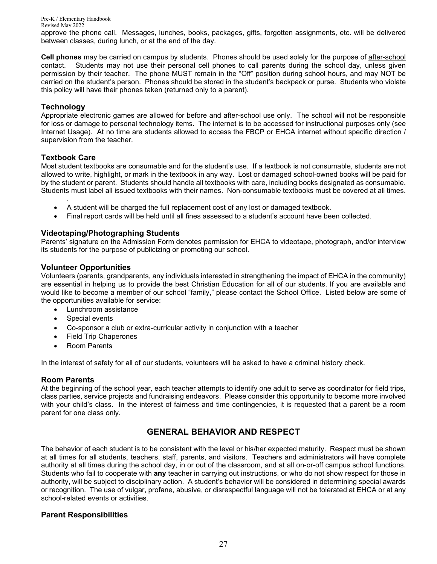approve the phone call. Messages, lunches, books, packages, gifts, forgotten assignments, etc. will be delivered between classes, during lunch, or at the end of the day.

**Cell phones** may be carried on campus by students. Phones should be used solely for the purpose of after-school contact. Students may not use their personal cell phones to call parents during the school day, unless given permission by their teacher. The phone MUST remain in the "Off" position during school hours, and may NOT be carried on the student's person. Phones should be stored in the student's backpack or purse. Students who violate this policy will have their phones taken (returned only to a parent).

#### **Technology**

Appropriate electronic games are allowed for before and after-school use only. The school will not be responsible for loss or damage to personal technology items. The internet is to be accessed for instructional purposes only (see Internet Usage). At no time are students allowed to access the FBCP or EHCA internet without specific direction / supervision from the teacher.

#### **Textbook Care**

Most student textbooks are consumable and for the student's use. If a textbook is not consumable, students are not allowed to write, highlight, or mark in the textbook in any way. Lost or damaged school-owned books will be paid for by the student or parent. Students should handle all textbooks with care, including books designated as consumable. Students must label all issued textbooks with their names. Non-consumable textbooks must be covered at all times.

- . • A student will be charged the full replacement cost of any lost or damaged textbook.
- Final report cards will be held until all fines assessed to a student's account have been collected.

#### **Videotaping/Photographing Students**

Parents' signature on the Admission Form denotes permission for EHCA to videotape, photograph, and/or interview its students for the purpose of publicizing or promoting our school.

#### **Volunteer Opportunities**

Volunteers (parents, grandparents, any individuals interested in strengthening the impact of EHCA in the community) are essential in helping us to provide the best Christian Education for all of our students. If you are available and would like to become a member of our school "family," please contact the School Office. Listed below are some of the opportunities available for service:

- Lunchroom assistance
- Special events
- Co-sponsor a club or extra-curricular activity in conjunction with a teacher
- Field Trip Chaperones
- Room Parents

In the interest of safety for all of our students, volunteers will be asked to have a criminal history check.

#### **Room Parents**

At the beginning of the school year, each teacher attempts to identify one adult to serve as coordinator for field trips, class parties, service projects and fundraising endeavors. Please consider this opportunity to become more involved with your child's class. In the interest of fairness and time contingencies, it is requested that a parent be a room parent for one class only.

## **GENERAL BEHAVIOR AND RESPECT**

The behavior of each student is to be consistent with the level or his/her expected maturity. Respect must be shown at all times for all students, teachers, staff, parents, and visitors. Teachers and administrators will have complete authority at all times during the school day, in or out of the classroom, and at all on-or-off campus school functions. Students who fail to cooperate with **any** teacher in carrying out instructions, or who do not show respect for those in authority, will be subject to disciplinary action. A student's behavior will be considered in determining special awards or recognition. The use of vulgar, profane, abusive, or disrespectful language will not be tolerated at EHCA or at any school-related events or activities.

#### **Parent Responsibilities**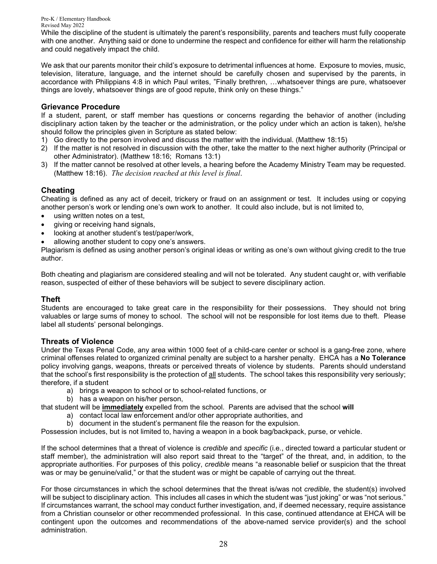While the discipline of the student is ultimately the parent's responsibility, parents and teachers must fully cooperate with one another. Anything said or done to undermine the respect and confidence for either will harm the relationship and could negatively impact the child.

We ask that our parents monitor their child's exposure to detrimental influences at home. Exposure to movies, music, television, literature, language, and the internet should be carefully chosen and supervised by the parents, in accordance with Philippians 4:8 in which Paul writes, "Finally brethren, …whatsoever things are pure, whatsoever things are lovely, whatsoever things are of good repute, think only on these things."

#### **Grievance Procedure**

If a student, parent, or staff member has questions or concerns regarding the behavior of another (including disciplinary action taken by the teacher or the administration, or the policy under which an action is taken), he/she should follow the principles given in Scripture as stated below:

- 1) Go directly to the person involved and discuss the matter with the individual. (Matthew 18:15)
- 2) If the matter is not resolved in discussion with the other, take the matter to the next higher authority (Principal or other Administrator). (Matthew 18:16; Romans 13:1)
- 3) If the matter cannot be resolved at other levels, a hearing before the Academy Ministry Team may be requested. (Matthew 18:16). *The decision reached at this level is final*.

#### **Cheating**

Cheating is defined as any act of deceit, trickery or fraud on an assignment or test. It includes using or copying another person's work or lending one's own work to another. It could also include, but is not limited to,

- using written notes on a test,
- giving or receiving hand signals,
- looking at another student's test/paper/work,
- allowing another student to copy one's answers.

Plagiarism is defined as using another person's original ideas or writing as one's own without giving credit to the true author.

Both cheating and plagiarism are considered stealing and will not be tolerated. Any student caught or, with verifiable reason, suspected of either of these behaviors will be subject to severe disciplinary action.

#### **Theft**

Students are encouraged to take great care in the responsibility for their possessions. They should not bring valuables or large sums of money to school. The school will not be responsible for lost items due to theft. Please label all students' personal belongings.

#### **Threats of Violence**

Under the Texas Penal Code, any area within 1000 feet of a child-care center or school is a gang-free zone, where criminal offenses related to organized criminal penalty are subject to a harsher penalty. EHCA has a **No Tolerance**  policy involving gangs, weapons, threats or perceived threats of violence by students. Parents should understand that the school's first responsibility is the protection of all students. The school takes this responsibility very seriously; therefore, if a student

- a) brings a weapon to school or to school-related functions, or
- b) has a weapon on his/her person,

that student will be **immediately** expelled from the school. Parents are advised that the school **will**

- a) contact local law enforcement and/or other appropriate authorities, and
- b) document in the student's permanent file the reason for the expulsion.

Possession includes, but is not limited to, having a weapon in a book bag/backpack, purse, or vehicle.

If the school determines that a threat of violence is *credible* and *specific* (i.e., directed toward a particular student or staff member), the administration will also report said threat to the "target" of the threat, and, in addition, to the appropriate authorities. For purposes of this policy, *credible* means "a reasonable belief or suspicion that the threat was or may be genuine/valid," or that the student was or might be capable of carrying out the threat.

For those circumstances in which the school determines that the threat is/was not *credible*, the student(s) involved will be subject to disciplinary action. This includes all cases in which the student was "just joking" or was "not serious." If circumstances warrant, the school may conduct further investigation, and, if deemed necessary, require assistance from a Christian counselor or other recommended professional. In this case, continued attendance at EHCA will be contingent upon the outcomes and recommendations of the above-named service provider(s) and the school administration.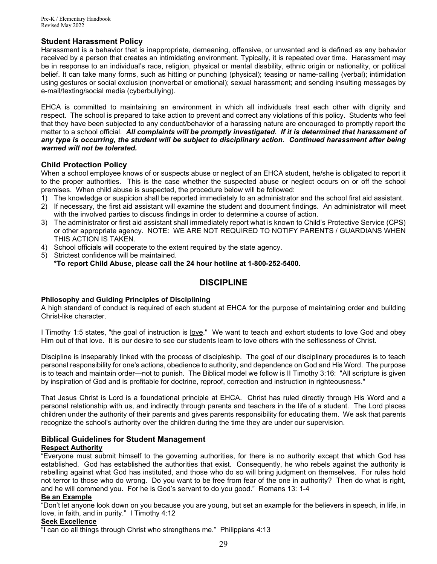#### **Student Harassment Policy**

Harassment is a behavior that is inappropriate, demeaning, offensive, or unwanted and is defined as any behavior received by a person that creates an intimidating environment. Typically, it is repeated over time. Harassment may be in response to an individual's race, religion, physical or mental disability, ethnic origin or nationality, or political belief. It can take many forms, such as hitting or punching (physical); teasing or name-calling (verbal); intimidation using gestures or social exclusion (nonverbal or emotional); sexual harassment; and sending insulting messages by e-mail/texting/social media (cyberbullying).

EHCA is committed to maintaining an environment in which all individuals treat each other with dignity and respect. The school is prepared to take action to prevent and correct any violations of this policy. Students who feel that they have been subjected to any conduct/behavior of a harassing nature are encouraged to promptly report the matter to a school official. *All complaints will be promptly investigated. If it is determined that harassment of any type is occurring, the student will be subject to disciplinary action. Continued harassment after being warned will not be tolerated.*

#### **Child Protection Policy**

When a school employee knows of or suspects abuse or neglect of an EHCA student, he/she is obligated to report it to the proper authorities. This is the case whether the suspected abuse or neglect occurs on or off the school premises. When child abuse is suspected, the procedure below will be followed:

- 1) The knowledge or suspicion shall be reported immediately to an administrator and the school first aid assistant.
- 2) If necessary, the first aid assistant will examine the student and document findings. An administrator will meet with the involved parties to discuss findings in order to determine a course of action.
- 3) The administrator or first aid assistant shall immediately report what is known to Child's Protective Service (CPS) or other appropriate agency. NOTE: WE ARE NOT REQUIRED TO NOTIFY PARENTS / GUARDIANS WHEN THIS ACTION IS TAKEN.
- 4) School officials will cooperate to the extent required by the state agency.
- 5) Strictest confidence will be maintained. **\*To report Child Abuse, please call the 24 hour hotline at 1-800-252-5400.**

## **DISCIPLINE**

#### **Philosophy and Guiding Principles of Disciplining**

A high standard of conduct is required of each student at EHCA for the purpose of maintaining order and building Christ-like character.

I Timothy 1:5 states, "the goal of instruction is love." We want to teach and exhort students to love God and obey Him out of that love. It is our desire to see our students learn to love others with the selflessness of Christ.

Discipline is inseparably linked with the process of discipleship. The goal of our disciplinary procedures is to teach personal responsibility for one's actions, obedience to authority, and dependence on God and His Word. The purpose is to teach and maintain order—not to punish. The Biblical model we follow is II Timothy 3:16: "All scripture is given by inspiration of God and is profitable for doctrine, reproof, correction and instruction in righteousness."

That Jesus Christ is Lord is a foundational principle at EHCA. Christ has ruled directly through His Word and a personal relationship with us, and indirectly through parents and teachers in the life of a student. The Lord places children under the authority of their parents and gives parents responsibility for educating them. We ask that parents recognize the school's authority over the children during the time they are under our supervision.

#### **Biblical Guidelines for Student Management**

#### **Respect Authority**

"Everyone must submit himself to the governing authorities, for there is no authority except that which God has established. God has established the authorities that exist. Consequently, he who rebels against the authority is rebelling against what God has instituted, and those who do so will bring judgment on themselves. For rules hold not terror to those who do wrong. Do you want to be free from fear of the one in authority? Then do what is right, and he will commend you. For he is God's servant to do you good." Romans 13: 1-4

#### **Be an Example**

"Don't let anyone look down on you because you are young, but set an example for the believers in speech, in life, in love, in faith, and in purity." I Timothy 4:12

#### **Seek Excellence**

"I can do all things through Christ who strengthens me." Philippians 4:13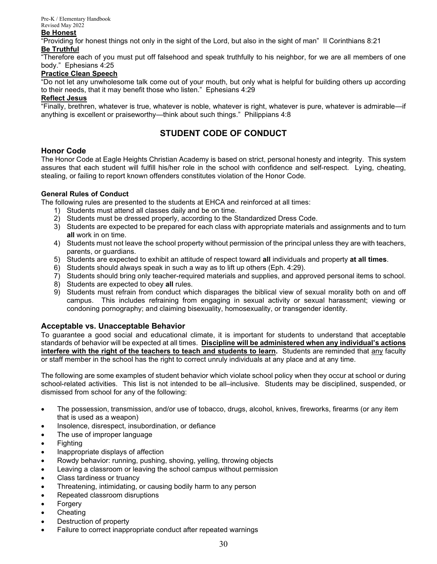#### **Be Honest**

"Providing for honest things not only in the sight of the Lord, but also in the sight of man" II Corinthians 8:21 **Be Truthful**

"Therefore each of you must put off falsehood and speak truthfully to his neighbor, for we are all members of one body." Ephesians 4:25

#### **Practice Clean Speech**

"Do not let any unwholesome talk come out of your mouth, but only what is helpful for building others up according to their needs, that it may benefit those who listen." Ephesians 4:29

#### **Reflect Jesus**

"Finally, brethren, whatever is true, whatever is noble, whatever is right, whatever is pure, whatever is admirable—if anything is excellent or praiseworthy—think about such things." Philippians 4:8

## **STUDENT CODE OF CONDUCT**

#### **Honor Code**

The Honor Code at Eagle Heights Christian Academy is based on strict, personal honesty and integrity. This system assures that each student will fulfill his/her role in the school with confidence and self-respect. Lying, cheating, stealing, or failing to report known offenders constitutes violation of the Honor Code.

#### **General Rules of Conduct**

The following rules are presented to the students at EHCA and reinforced at all times:

- 1) Students must attend all classes daily and be on time.
- 2) Students must be dressed properly, according to the Standardized Dress Code.
- 3) Students are expected to be prepared for each class with appropriate materials and assignments and to turn **all** work in on time.
- 4) Students must not leave the school property without permission of the principal unless they are with teachers, parents, or guardians.
- 5) Students are expected to exhibit an attitude of respect toward **all** individuals and property **at all times**.
- 6) Students should always speak in such a way as to lift up others (Eph. 4:29).
- 7) Students should bring only teacher-required materials and supplies, and approved personal items to school.
- 8) Students are expected to obey **all** rules.
- 9) Students must refrain from conduct which disparages the biblical view of sexual morality both on and off campus. This includes refraining from engaging in sexual activity or sexual harassment; viewing or condoning pornography; and claiming bisexuality, homosexuality, or transgender identity.

#### **Acceptable vs. Unacceptable Behavior**

To guarantee a good social and educational climate, it is important for students to understand that acceptable standards of behavior will be expected at all times. **Discipline will be administered when any individual's actions interfere with the right of the teachers to teach and students to learn.** Students are reminded that any faculty or staff member in the school has the right to correct unruly individuals at any place and at any time.

The following are some examples of student behavior which violate school policy when they occur at school or during school-related activities. This list is not intended to be all–inclusive. Students may be disciplined, suspended, or dismissed from school for any of the following:

- The possession, transmission, and/or use of tobacco, drugs, alcohol, knives, fireworks, firearms (or any item that is used as a weapon)
- Insolence, disrespect, insubordination, or defiance
- The use of improper language
- Fighting
- Inappropriate displays of affection
- Rowdy behavior: running, pushing, shoving, yelling, throwing objects
- Leaving a classroom or leaving the school campus without permission
- Class tardiness or truancy
- Threatening, intimidating, or causing bodily harm to any person
- Repeated classroom disruptions
- **Forgery**
- **Cheating**
- Destruction of property
- Failure to correct inappropriate conduct after repeated warnings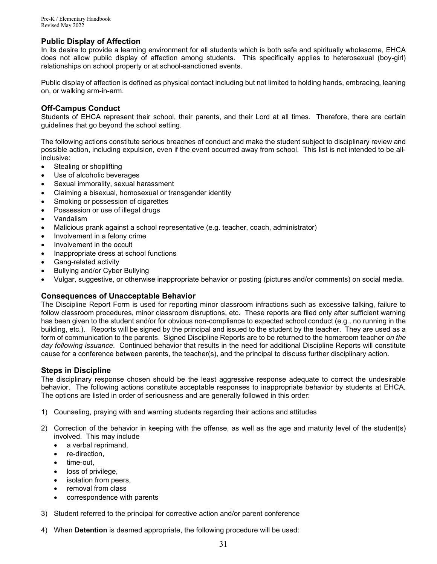#### **Public Display of Affection**

In its desire to provide a learning environment for all students which is both safe and spiritually wholesome, EHCA does not allow public display of affection among students. This specifically applies to heterosexual (boy-girl) relationships on school property or at school-sanctioned events.

Public display of affection is defined as physical contact including but not limited to holding hands, embracing, leaning on, or walking arm-in-arm.

#### **Off-Campus Conduct**

Students of EHCA represent their school, their parents, and their Lord at all times. Therefore, there are certain guidelines that go beyond the school setting.

The following actions constitute serious breaches of conduct and make the student subject to disciplinary review and possible action, including expulsion, even if the event occurred away from school. This list is not intended to be allinclusive:

- Stealing or shoplifting
- Use of alcoholic beverages
- Sexual immorality, sexual harassment
- Claiming a bisexual, homosexual or transgender identity
- Smoking or possession of cigarettes
- Possession or use of illegal drugs
- Vandalism
- Malicious prank against a school representative (e.g. teacher, coach, administrator)
- Involvement in a felony crime
- Involvement in the occult
- Inappropriate dress at school functions
- Gang-related activity
- Bullying and/or Cyber Bullying
- Vulgar, suggestive, or otherwise inappropriate behavior or posting (pictures and/or comments) on social media.

#### **Consequences of Unacceptable Behavior**

The Discipline Report Form is used for reporting minor classroom infractions such as excessive talking, failure to follow classroom procedures, minor classroom disruptions, etc. These reports are filed only after sufficient warning has been given to the student and/or for obvious non-compliance to expected school conduct (e.g., no running in the building, etc.). Reports will be signed by the principal and issued to the student by the teacher. They are used as a form of communication to the parents. Signed Discipline Reports are to be returned to the homeroom teacher *on the day following issuance*. Continued behavior that results in the need for additional Discipline Reports will constitute cause for a conference between parents, the teacher(s), and the principal to discuss further disciplinary action.

#### **Steps in Discipline**

The disciplinary response chosen should be the least aggressive response adequate to correct the undesirable behavior. The following actions constitute acceptable responses to inappropriate behavior by students at EHCA. The options are listed in order of seriousness and are generally followed in this order:

- 1) Counseling, praying with and warning students regarding their actions and attitudes
- 2) Correction of the behavior in keeping with the offense, as well as the age and maturity level of the student(s) involved. This may include
	- a verbal reprimand,
	- re-direction,
	- time-out,
	- loss of privilege,
	- isolation from peers,
	- removal from class
	- correspondence with parents
- 3) Student referred to the principal for corrective action and/or parent conference
- 4) When **Detention** is deemed appropriate, the following procedure will be used: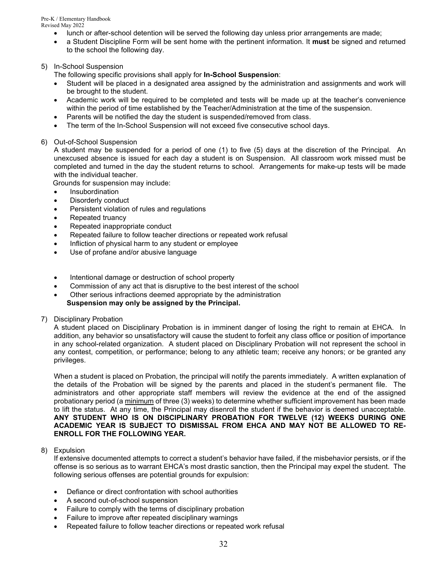- lunch or after-school detention will be served the following day unless prior arrangements are made;
- a Student Discipline Form will be sent home with the pertinent information. It **must** be signed and returned to the school the following day.
- 5) In-School Suspension

The following specific provisions shall apply for **In-School Suspension**:

- Student will be placed in a designated area assigned by the administration and assignments and work will be brought to the student.
- Academic work will be required to be completed and tests will be made up at the teacher's convenience within the period of time established by the Teacher/Administration at the time of the suspension.
- Parents will be notified the day the student is suspended/removed from class.
- The term of the In-School Suspension will not exceed five consecutive school days.
- 6) Out-of-School Suspension

A student may be suspended for a period of one (1) to five (5) days at the discretion of the Principal. An unexcused absence is issued for each day a student is on Suspension. All classroom work missed must be completed and turned in the day the student returns to school. Arrangements for make-up tests will be made with the individual teacher.

Grounds for suspension may include:

- Insubordination
- Disorderly conduct
- Persistent violation of rules and regulations
- Repeated truancy
- Repeated inappropriate conduct
- Repeated failure to follow teacher directions or repeated work refusal
- Infliction of physical harm to any student or employee
- Use of profane and/or abusive language
- Intentional damage or destruction of school property
- Commission of any act that is disruptive to the best interest of the school
- Other serious infractions deemed appropriate by the administration **Suspension may only be assigned by the Principal.**
- 7) Disciplinary Probation

A student placed on Disciplinary Probation is in imminent danger of losing the right to remain at EHCA. In addition, any behavior so unsatisfactory will cause the student to forfeit any class office or position of importance in any school-related organization. A student placed on Disciplinary Probation will not represent the school in any contest, competition, or performance; belong to any athletic team; receive any honors; or be granted any privileges.

When a student is placed on Probation, the principal will notify the parents immediately. A written explanation of the details of the Probation will be signed by the parents and placed in the student's permanent file. The administrators and other appropriate staff members will review the evidence at the end of the assigned probationary period (a minimum of three (3) weeks) to determine whether sufficient improvement has been made to lift the status. At any time, the Principal may disenroll the student if the behavior is deemed unacceptable. **ANY STUDENT WHO IS ON DISCIPLINARY PROBATION FOR TWELVE (12) WEEKS DURING ONE ACADEMIC YEAR IS SUBJECT TO DISMISSAL FROM EHCA AND MAY NOT BE ALLOWED TO RE-ENROLL FOR THE FOLLOWING YEAR.**

#### 8) Expulsion

If extensive documented attempts to correct a student's behavior have failed, if the misbehavior persists, or if the offense is so serious as to warrant EHCA's most drastic sanction, then the Principal may expel the student. The following serious offenses are potential grounds for expulsion:

- Defiance or direct confrontation with school authorities
- A second out-of-school suspension
- Failure to comply with the terms of disciplinary probation
- Failure to improve after repeated disciplinary warnings
- Repeated failure to follow teacher directions or repeated work refusal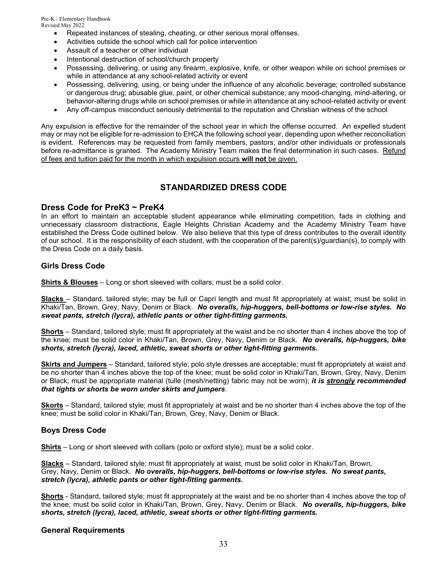- Repeated instances of stealing, cheating, or other serious moral offenses.
- Activities outside the school which call for police intervention
- Assault of a teacher or other individual
- Intentional destruction of school/church property
- Possessing, delivering, or using any firearm, explosive, knife, or other weapon while on school premises or while in attendance at any school-related activity or event
- Possessing, delivering, using, or being under the influence of any alcoholic beverage; controlled substance or dangerous drug; abusable glue, paint, or other chemical substance; any mood-changing, mind-altering, or behavior-altering drugs while on school premises or while in attendance at any school-related activity or event
- Any off-campus misconduct seriously detrimental to the reputation and Christian witness of the school

Any expulsion is effective for the remainder of the school year in which the offense occurred. An expelled student may or may not be eligible for re-admission to EHCA the following school year, depending upon whether reconciliation is evident. References may be requested from family members, pastors, and/or other individuals or professionals before re-admittance is granted. The Academy Ministry Team makes the final determination in such cases. Refund of fees and tuition paid for the month in which expulsion occurs **will not** be given.

## **STANDARDIZED DRESS CODE**

#### **Dress Code for PreK3 ~ PreK4**

In an effort to maintain an acceptable student appearance while eliminating competition, fads in clothing and unnecessary classroom distractions, Eagle Heights Christian Academy and the Academy Ministry Team have established the Dress Code outlined below. We also believe that this type of dress contributes to the overall identity of our school. It is the responsibility of each student, with the cooperation of the parent(s)/guardian(s), to comply with the Dress Code on a daily basis.

#### **Girls Dress Code**

**Shirts & Blouses** – Long or short sleeved with collars; must be a solid color.

**Slacks** – Standard, tailored style; may be full or Capri length and must fit appropriately at waist; must be solid in Khaki/Tan, Brown, Grey, Navy, Denim or Black. *No overalls, hip-huggers, bell-bottoms or low-rise styles. No sweat pants, stretch (lycra), athletic pants or other tight-fitting garments.*

**Shorts** – Standard, tailored style; must fit appropriately at the waist and be no shorter than 4 inches above the top of the knee; must be solid color in Khaki/Tan, Brown, Grey, Navy, Denim or Black. *No overalls, hip-huggers, bike shorts, stretch (lycra), laced, athletic, sweat shorts or other tight-fitting garments.*

**Skirts and Jumpers** – Standard, tailored style; polo style dresses are acceptable; must fit appropriately at waist and be no shorter than 4 inches above the top of the knee; must be solid color in Khaki/Tan, Brown, Grey, Navy, Denim or Black; must be appropriate material (tulle (mesh/netting) fabric may not be worn); *it is strongly recommended that tights or shorts be worn under skirts and jumpers*.

**Skorts** – Standard, tailored style; must fit appropriately at waist and be no shorter than 4 inches above the top of the knee; must be solid color in Khaki/Tan, Brown, Grey, Navy, Denim or Black.

#### **Boys Dress Code**

**Shirts** – Long or short sleeved with collars (polo or oxford style); must be a solid color.

**Slacks** – Standard, tailored style; must fit appropriately at waist, must be solid color in Khaki/Tan, Brown, Grey, Navy, Denim or Black. *No overalls, hip-huggers, bell-bottoms or low-rise styles. No sweat pants, stretch (lycra), athletic pants or other tight-fitting garments.*

**Shorts** - Standard, tailored style; must fit appropriately at the waist and be no shorter than 4 inches above the top of the knee; must be solid color in Khaki/Tan, Brown, Grey, Navy, Denim or Black. *No overalls, hip-huggers, bike shorts, stretch (lycra), laced, athletic, sweat shorts or other tight-fitting garments.*

#### **General Requirements**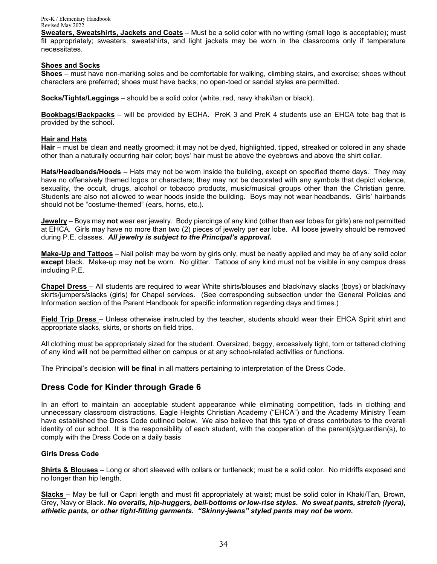**Sweaters, Sweatshirts, Jackets and Coats** – Must be a solid color with no writing (small logo is acceptable); must fit appropriately; sweaters, sweatshirts, and light jackets may be worn in the classrooms only if temperature necessitates.

#### **Shoes and Socks**

**Shoes** – must have non-marking soles and be comfortable for walking, climbing stairs, and exercise; shoes without characters are preferred; shoes must have backs; no open-toed or sandal styles are permitted.

**Socks/Tights/Leggings** – should be a solid color (white, red, navy khaki/tan or black).

**Bookbags/Backpacks** – will be provided by ECHA. PreK 3 and PreK 4 students use an EHCA tote bag that is provided by the school.

#### **Hair and Hats**

**Hair** – must be clean and neatly groomed; it may not be dyed, highlighted, tipped, streaked or colored in any shade other than a naturally occurring hair color; boys' hair must be above the eyebrows and above the shirt collar.

**Hats/Headbands/Hoods** – Hats may not be worn inside the building, except on specified theme days. They may have no offensively themed logos or characters; they may not be decorated with any symbols that depict violence, sexuality, the occult, drugs, alcohol or tobacco products, music/musical groups other than the Christian genre. Students are also not allowed to wear hoods inside the building.Boys may not wear headbands. Girls' hairbands should not be "costume-themed" (ears, horns, etc.).

**Jewelry** – Boys may **not** wear ear jewelry. Body piercings of any kind (other than ear lobes for girls) are not permitted at EHCA. Girls may have no more than two (2) pieces of jewelry per ear lobe. All loose jewelry should be removed during P.E. classes. *All jewelry is subject to the Principal's approval.*

**Make-Up and Tattoos** – Nail polish may be worn by girls only, must be neatly applied and may be of any solid color **except** black. Make-up may **not** be worn. No glitter. Tattoos of any kind must not be visible in any campus dress including P.E.

**Chapel Dress** – All students are required to wear White shirts/blouses and black/navy slacks (boys) or black/navy skirts/jumpers/slacks (girls) for Chapel services. (See corresponding subsection under the General Policies and Information section of the Parent Handbook for specific information regarding days and times.)

**Field Trip Dress** – Unless otherwise instructed by the teacher, students should wear their EHCA Spirit shirt and appropriate slacks, skirts, or shorts on field trips.

All clothing must be appropriately sized for the student. Oversized, baggy, excessively tight, torn or tattered clothing of any kind will not be permitted either on campus or at any school-related activities or functions.

The Principal's decision **will be final** in all matters pertaining to interpretation of the Dress Code.

### **Dress Code for Kinder through Grade 6**

In an effort to maintain an acceptable student appearance while eliminating competition, fads in clothing and unnecessary classroom distractions, Eagle Heights Christian Academy ("EHCA") and the Academy Ministry Team have established the Dress Code outlined below. We also believe that this type of dress contributes to the overall identity of our school. It is the responsibility of each student, with the cooperation of the parent(s)/guardian(s), to comply with the Dress Code on a daily basis

#### **Girls Dress Code**

**Shirts & Blouses** – Long or short sleeved with collars or turtleneck; must be a solid color. No midriffs exposed and no longer than hip length.

**Slacks** – May be full or Capri length and must fit appropriately at waist; must be solid color in Khaki/Tan, Brown, Grey, Navy or Black. *No overalls, hip-huggers, bell-bottoms or low-rise styles. No sweat pants, stretch (lycra), athletic pants, or other tight-fitting garments. "Skinny-jeans" styled pants may not be worn.*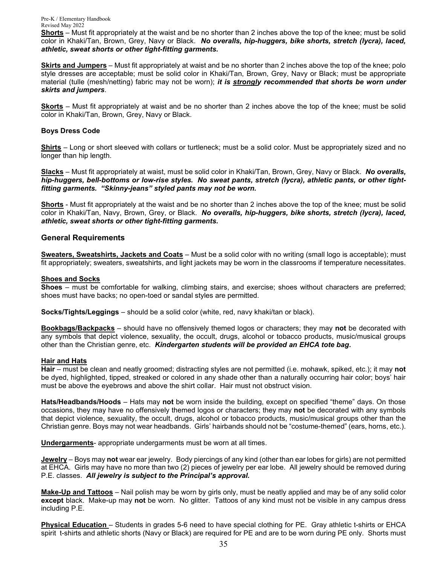**Shorts** – Must fit appropriately at the waist and be no shorter than 2 inches above the top of the knee; must be solid color in Khaki/Tan, Brown, Grey, Navy or Black. *No overalls, hip-huggers, bike shorts, stretch (lycra), laced, athletic, sweat shorts or other tight-fitting garments.*

**Skirts and Jumpers** – Must fit appropriately at waist and be no shorter than 2 inches above the top of the knee; polo style dresses are acceptable; must be solid color in Khaki/Tan, Brown, Grey, Navy or Black; must be appropriate material (tulle (mesh/netting) fabric may not be worn); *it is strongly recommended that shorts be worn under skirts and jumpers*.

**Skorts** – Must fit appropriately at waist and be no shorter than 2 inches above the top of the knee; must be solid color in Khaki/Tan, Brown, Grey, Navy or Black.

#### **Boys Dress Code**

**Shirts** – Long or short sleeved with collars or turtleneck; must be a solid color. Must be appropriately sized and no longer than hip length.

**Slacks** – Must fit appropriately at waist, must be solid color in Khaki/Tan, Brown, Grey, Navy or Black. *No overalls, hip-huggers, bell-bottoms or low-rise styles. No sweat pants, stretch (lycra), athletic pants, or other tightfitting garments. "Skinny-jeans" styled pants may not be worn.*

**Shorts** - Must fit appropriately at the waist and be no shorter than 2 inches above the top of the knee; must be solid color in Khaki/Tan, Navy, Brown, Grey, or Black. *No overalls, hip-huggers, bike shorts, stretch (lycra), laced, athletic, sweat shorts or other tight-fitting garments.*

#### **General Requirements**

**Sweaters, Sweatshirts, Jackets and Coats** – Must be a solid color with no writing (small logo is acceptable); must fit appropriately; sweaters, sweatshirts, and light jackets may be worn in the classrooms if temperature necessitates.

#### **Shoes and Socks**

**Shoes** – must be comfortable for walking, climbing stairs, and exercise; shoes without characters are preferred; shoes must have backs; no open-toed or sandal styles are permitted.

**Socks/Tights/Leggings** – should be a solid color (white, red, navy khaki/tan or black).

**Bookbags/Backpacks** – should have no offensively themed logos or characters; they may **not** be decorated with any symbols that depict violence, sexuality, the occult, drugs, alcohol or tobacco products, music/musical groups other than the Christian genre, etc. *Kindergarten students will be provided an EHCA tote bag.*

#### **Hair and Hats**

**Hair** – must be clean and neatly groomed; distracting styles are not permitted (i.e. mohawk, spiked, etc.); it may **not** be dyed, highlighted, tipped, streaked or colored in any shade other than a naturally occurring hair color; boys' hair must be above the eyebrows and above the shirt collar. Hair must not obstruct vision.

**Hats/Headbands/Hoods** – Hats may **not** be worn inside the building, except on specified "theme" days. On those occasions, they may have no offensively themed logos or characters; they may **not** be decorated with any symbols that depict violence, sexuality, the occult, drugs, alcohol or tobacco products, music/musical groups other than the Christian genre. Boys may not wear headbands. Girls' hairbands should not be "costume-themed" (ears, horns, etc.).

**Undergarments**- appropriate undergarments must be worn at all times.

**Jewelry** – Boys may **not** wear ear jewelry. Body piercings of any kind (other than ear lobes for girls) are not permitted at EHCA. Girls may have no more than two (2) pieces of jewelry per ear lobe. All jewelry should be removed during P.E. classes. *All jewelry is subject to the Principal's approval.*

**Make-Up and Tattoos** – Nail polish may be worn by girls only, must be neatly applied and may be of any solid color **except** black. Make-up may **not** be worn. No glitter. Tattoos of any kind must not be visible in any campus dress including P.E.

**Physical Education** – Students in grades 5-6 need to have special clothing for PE. Gray athletic t-shirts or EHCA spirit t-shirts and athletic shorts (Navy or Black) are required for PE and are to be worn during PE only. Shorts must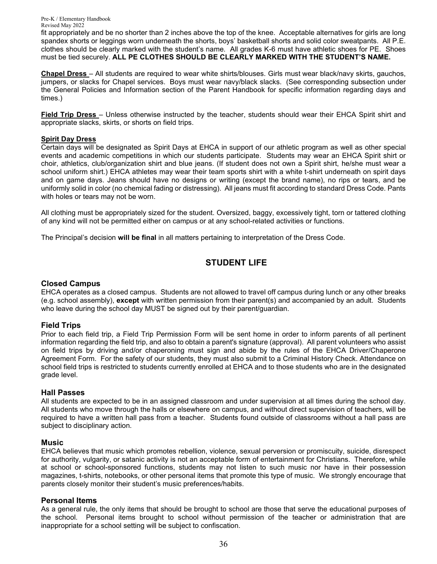fit appropriately and be no shorter than 2 inches above the top of the knee. Acceptable alternatives for girls are long spandex shorts or leggings worn underneath the shorts, boys' basketball shorts and solid color sweatpants. All P.E. clothes should be clearly marked with the student's name. All grades K-6 must have athletic shoes for PE. Shoes must be tied securely. **ALL PE CLOTHES SHOULD BE CLEARLY MARKED WITH THE STUDENT'S NAME.**

**Chapel Dress** – All students are required to wear white shirts/blouses. Girls must wear black/navy skirts, gauchos, jumpers, or slacks for Chapel services. Boys must wear navy/black slacks. (See corresponding subsection under the General Policies and Information section of the Parent Handbook for specific information regarding days and times.)

**Field Trip Dress** – Unless otherwise instructed by the teacher, students should wear their EHCA Spirit shirt and appropriate slacks, skirts, or shorts on field trips.

#### **Spirit Day Dress**

Certain days will be designated as Spirit Days at EHCA in support of our athletic program as well as other special events and academic competitions in which our students participate.Students may wear an EHCA Spirit shirt or choir, athletics, club/organization shirt and blue jeans. (If student does not own a Spirit shirt, he/she must wear a school uniform shirt.) EHCA athletes may wear their team sports shirt with a white t-shirt underneath on spirit days and on game days. Jeans should have no designs or writing (except the brand name), no rips or tears, and be uniformly solid in color (no chemical fading or distressing). All jeans must fit according to standard Dress Code. Pants with holes or tears may not be worn.

All clothing must be appropriately sized for the student. Oversized, baggy, excessively tight, torn or tattered clothing of any kind will not be permitted either on campus or at any school-related activities or functions.

The Principal's decision **will be final** in all matters pertaining to interpretation of the Dress Code.

## **STUDENT LIFE**

#### **Closed Campus**

EHCA operates as a closed campus. Students are not allowed to travel off campus during lunch or any other breaks (e.g. school assembly), **except** with written permission from their parent(s) and accompanied by an adult. Students who leave during the school day MUST be signed out by their parent/guardian.

#### **Field Trips**

Prior to each field trip, a Field Trip Permission Form will be sent home in order to inform parents of all pertinent information regarding the field trip, and also to obtain a parent's signature (approval). All parent volunteers who assist on field trips by driving and/or chaperoning must sign and abide by the rules of the EHCA Driver/Chaperone Agreement Form. For the safety of our students, they must also submit to a Criminal History Check. Attendance on school field trips is restricted to students currently enrolled at EHCA and to those students who are in the designated grade level.

#### **Hall Passes**

All students are expected to be in an assigned classroom and under supervision at all times during the school day. All students who move through the halls or elsewhere on campus, and without direct supervision of teachers, will be required to have a written hall pass from a teacher. Students found outside of classrooms without a hall pass are subject to disciplinary action.

#### **Music**

EHCA believes that music which promotes rebellion, violence, sexual perversion or promiscuity, suicide, disrespect for authority, vulgarity, or satanic activity is not an acceptable form of entertainment for Christians. Therefore, while at school or school-sponsored functions, students may not listen to such music nor have in their possession magazines, t-shirts, notebooks, or other personal items that promote this type of music. We strongly encourage that parents closely monitor their student's music preferences/habits.

#### **Personal Items**

As a general rule, the only items that should be brought to school are those that serve the educational purposes of the school. Personal items brought to school without permission of the teacher or administration that are inappropriate for a school setting will be subject to confiscation.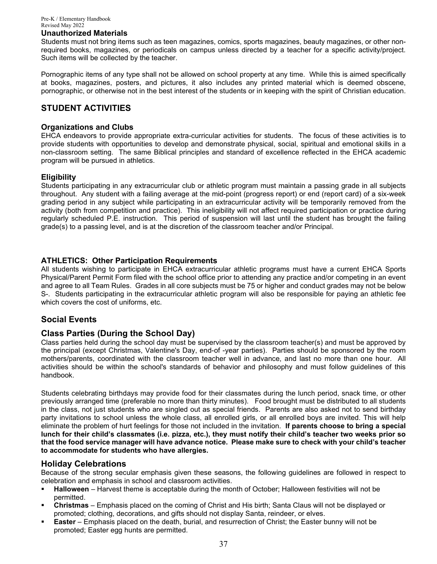#### **Unauthorized Materials**

Students must not bring items such as teen magazines, comics, sports magazines, beauty magazines, or other nonrequired books, magazines, or periodicals on campus unless directed by a teacher for a specific activity/project. Such items will be collected by the teacher.

Pornographic items of any type shall not be allowed on school property at any time. While this is aimed specifically at books, magazines, posters, and pictures, it also includes any printed material which is deemed obscene, pornographic, or otherwise not in the best interest of the students or in keeping with the spirit of Christian education.

## **STUDENT ACTIVITIES**

#### **Organizations and Clubs**

EHCA endeavors to provide appropriate extra-curricular activities for students. The focus of these activities is to provide students with opportunities to develop and demonstrate physical, social, spiritual and emotional skills in a non-classroom setting. The same Biblical principles and standard of excellence reflected in the EHCA academic program will be pursued in athletics.

#### **Eligibility**

Students participating in any extracurricular club or athletic program must maintain a passing grade in all subjects throughout. Any student with a failing average at the mid-point (progress report) or end (report card) of a six-week grading period in any subject while participating in an extracurricular activity will be temporarily removed from the activity (both from competition and practice). This ineligibility will not affect required participation or practice during regularly scheduled P.E. instruction. This period of suspension will last until the student has brought the failing grade(s) to a passing level, and is at the discretion of the classroom teacher and/or Principal.

#### **ATHLETICS: Other Participation Requirements**

All students wishing to participate in EHCA extracurricular athletic programs must have a current EHCA Sports Physical/Parent Permit Form filed with the school office prior to attending any practice and/or competing in an event and agree to all Team Rules. Grades in all core subjects must be 75 or higher and conduct grades may not be below S-. Students participating in the extracurricular athletic program will also be responsible for paying an athletic fee which covers the cost of uniforms, etc.

### **Social Events**

### **Class Parties (During the School Day)**

Class parties held during the school day must be supervised by the classroom teacher(s) and must be approved by the principal (except Christmas, Valentine's Day, end-of -year parties). Parties should be sponsored by the room mothers/parents, coordinated with the classroom teacher well in advance, and last no more than one hour. All activities should be within the school's standards of behavior and philosophy and must follow guidelines of this handbook.

Students celebrating birthdays may provide food for their classmates during the lunch period, snack time, or other previously arranged time (preferable no more than thirty minutes). Food brought must be distributed to all students in the class, not just students who are singled out as special friends. Parents are also asked not to send birthday party invitations to school unless the whole class, all enrolled girls, or all enrolled boys are invited. This will help eliminate the problem of hurt feelings for those not included in the invitation. **If parents choose to bring a special lunch for their child's classmates (i.e. pizza, etc.), they must notify their child's teacher two weeks prior so that the food service manager will have advance notice. Please make sure to check with your child's teacher to accommodate for students who have allergies.**

#### **Holiday Celebrations**

Because of the strong secular emphasis given these seasons, the following guidelines are followed in respect to celebration and emphasis in school and classroom activities.

- **Halloween** Harvest theme is acceptable during the month of October; Halloween festivities will not be permitted.
- **Christmas** Emphasis placed on the coming of Christ and His birth; Santa Claus will not be displayed or promoted; clothing, decorations, and gifts should not display Santa, reindeer, or elves.
- **Easter** Emphasis placed on the death, burial, and resurrection of Christ; the Easter bunny will not be promoted; Easter egg hunts are permitted.